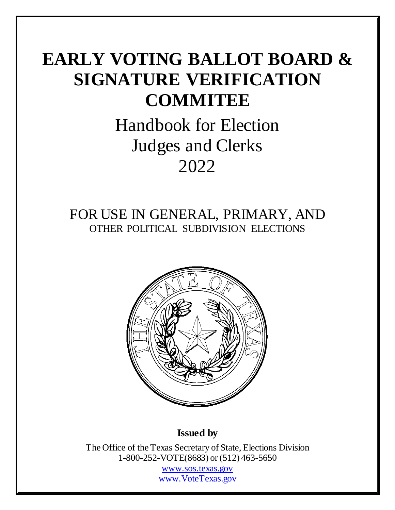# **EARLY VOTING BALLOT BOARD & SIGNATURE VERIFICATION COMMITEE**

# Handbook for Election Judges and Clerks 2022

# FOR USE IN GENERAL, PRIMARY, AND OTHER POLITICAL SUBDIVISION ELECTIONS



# **Issued by**

The Office of the Texas Secretary of State, Elections Division 1-800-252-VOTE(8683) or (512) 463-5650 [www.sos.texas.gov](http://www.sos.texas.gov/) [www.VoteTexas.gov](http://www.votetexas.gov/)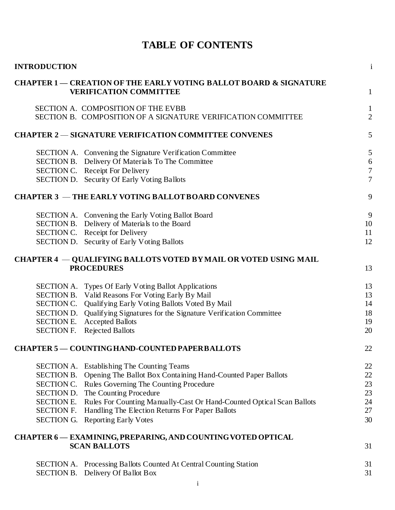|  |  | <b>TABLE OF CONTENTS</b> |
|--|--|--------------------------|
|--|--|--------------------------|

| <b>INTRODUCTION</b> |                                                                                                               | $\mathbf{1}$   |
|---------------------|---------------------------------------------------------------------------------------------------------------|----------------|
|                     | <b>CHAPTER 1 — CREATION OF THE EARLY VOTING BALLOT BOARD &amp; SIGNATURE</b><br><b>VERIFICATION COMMITTEE</b> | $\mathbf{1}$   |
|                     | SECTION A. COMPOSITION OF THE EVBB                                                                            | $\mathbf{1}$   |
|                     | SECTION B. COMPOSITION OF A SIGNATURE VERIFICATION COMMITTEE                                                  | $\overline{2}$ |
|                     | <b>CHAPTER 2 – SIGNATURE VERIFICATION COMMITTEE CONVENES</b>                                                  | 5              |
|                     | SECTION A. Convening the Signature Verification Committee                                                     | 5              |
|                     | SECTION B. Delivery Of Materials To The Committee                                                             | 6              |
|                     | SECTION C. Receipt For Delivery                                                                               | $\overline{7}$ |
|                     | SECTION D. Security Of Early Voting Ballots                                                                   | $\overline{7}$ |
|                     | <b>CHAPTER 3 – THE EARLY VOTING BALLOT BOARD CONVENES</b>                                                     | 9              |
|                     | SECTION A. Convening the Early Voting Ballot Board                                                            | 9              |
|                     | SECTION B. Delivery of Materials to the Board                                                                 | 10             |
|                     | SECTION C. Receipt for Delivery                                                                               | 11             |
|                     | SECTION D. Security of Early Voting Ballots                                                                   | 12             |
|                     | <b>CHAPTER 4 – QUALIFYING BALLOTS VOTED BY MAIL OR VOTED USING MAIL</b>                                       |                |
|                     | <b>PROCEDURES</b>                                                                                             | 13             |
|                     | SECTION A. Types Of Early Voting Ballot Applications                                                          | 13             |
|                     | SECTION B. Valid Reasons For Voting Early By Mail                                                             | 13             |
| SECTION C.          | Qualifying Early Voting Ballots Voted By Mail                                                                 | 14             |
|                     | SECTION D. Qualifying Signatures for the Signature Verification Committee                                     | 18             |
|                     | <b>SECTION E.</b> Accepted Ballots                                                                            | 19             |
| <b>SECTION F.</b>   | <b>Rejected Ballots</b>                                                                                       | 20             |
|                     | <b>CHAPTER 5 - COUNTING HAND-COUNTED PAPER BALLOTS</b>                                                        | 22             |
|                     | <b>SECTION A.</b> Establishing The Counting Teams                                                             | 22             |
|                     | SECTION B. Opening The Ballot Box Containing Hand-Counted Paper Ballots                                       | 22             |
| SECTION C.          | Rules Governing The Counting Procedure                                                                        | 23             |
| SECTION D.          | The Counting Procedure                                                                                        | 23             |
| SECTION E.          | Rules For Counting Manually-Cast Or Hand-Counted Optical Scan Ballots                                         | 24             |
| <b>SECTION F.</b>   | Handling The Election Returns For Paper Ballots                                                               | 27             |
| SECTION G.          | <b>Reporting Early Votes</b>                                                                                  | 30             |
|                     | CHAPTER 6 - EXAMINING, PREPARING, AND COUNTING VOTED OPTICAL                                                  |                |
|                     | <b>SCAN BALLOTS</b>                                                                                           | 31             |
|                     | <b>SECTION A. Processing Ballots Counted At Central Counting Station</b>                                      | 31             |
| SECTION B.          | Delivery Of Ballot Box                                                                                        | 31             |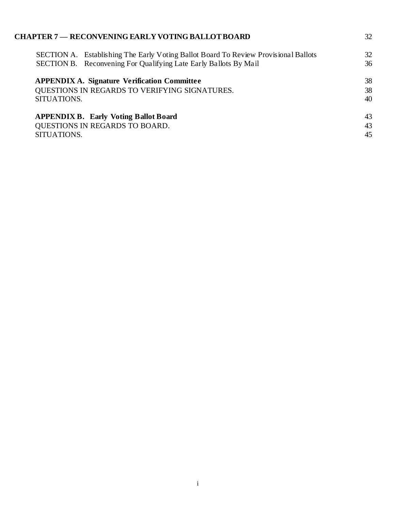| <b>CHAPTER 7 — RECONVENING EARLY VOTING BALLOT BOARD</b>                            | 32 |
|-------------------------------------------------------------------------------------|----|
| SECTION A. Establishing The Early Voting Ballot Board To Review Provisional Ballots | 32 |
| SECTION B. Reconvening For Qualifying Late Early Ballots By Mail                    | 36 |
| <b>APPENDIX A. Signature Verification Committee</b>                                 | 38 |
| QUESTIONS IN REGARDS TO VERIFYING SIGNATURES.                                       | 38 |
| SITUATIONS.                                                                         | 40 |
| <b>APPENDIX B. Early Voting Ballot Board</b>                                        | 43 |
| QUESTIONS IN REGARDS TO BOARD.                                                      | 43 |
| SITUATIONS.                                                                         | 45 |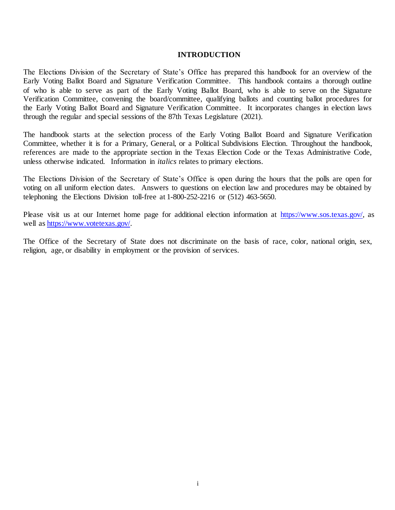### **INTRODUCTION**

The Elections Division of the Secretary of State's Office has prepared this handbook for an overview of the Early Voting Ballot Board and Signature Verification Committee. This handbook contains a thorough outline of who is able to serve as part of the Early Voting Ballot Board, who is able to serve on the Signature Verification Committee, convening the board/committee, qualifying ballots and counting ballot procedures for the Early Voting Ballot Board and Signature Verification Committee. It incorporates changes in election laws through the regular and special sessions of the 87th Texas Legislature (2021).

The handbook starts at the selection process of the Early Voting Ballot Board and Signature Verification Committee, whether it is for a Primary, General, or a Political Subdivisions Election. Throughout the handbook, references are made to the appropriate section in the Texas Election Code or the Texas Administrative Code, unless otherwise indicated. Information in *italics* relates to primary elections.

The Elections Division of the Secretary of State's Office is open during the hours that the polls are open for voting on all uniform election dates. Answers to questions on election law and procedures may be obtained by telephoning the Elections Division toll-free at 1-800-252-2216 or (512) 463-5650.

Please visit us at our Internet home page for additional election information at [https://www.sos.texas.gov/,](https://www.sos.texas.gov/) as well a[s https://www.votetexas.gov/.](https://www.votetexas.gov/) 

The Office of the Secretary of State does not discriminate on the basis of race, color, national origin, sex, religion, age, or disability in employment or the provision of services.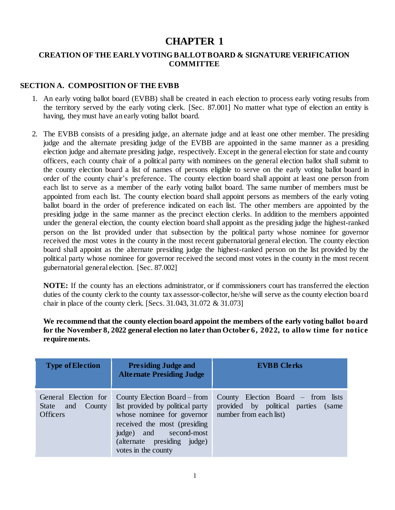# **CHAPTER 1**

# <span id="page-4-0"></span>**CREATION OF THE EARLY VOTING BALLOT BOARD & SIGNATURE VERIFICATION COMMITTEE**

# **SECTION A. COMPOSITION OF THE EVBB**

- 1. An early voting ballot board (EVBB) shall be created in each election to process early voting results from the territory served by the early voting clerk. [Sec. 87.001] No matter what type of election an entity is having, they must have an early voting ballot board.
- 2. The EVBB consists of a presiding judge, an alternate judge and at least one other member. The presiding judge and the alternate presiding judge of the EVBB are appointed in the same manner as a presiding election judge and alternate presiding judge, respectively. Except in the general election for state and county officers, each county chair of a political party with nominees on the general election ballot shall submit to the county election board a list of names of persons eligible to serve on the early voting ballot board in order of the county chair's preference. The county election board shall appoint at least one person from each list to serve as a member of the early voting ballot board. The same number of members must be appointed from each list. The county election board shall appoint persons as members of the early voting ballot board in the order of preference indicated on each list. The other members are appointed by the presiding judge in the same manner as the precinct election clerks. In addition to the members appointed under the general election, the county election board shall appoint as the presiding judge the highest-ranked person on the list provided under that subsection by the political party whose nominee for governor received the most votes in the county in the most recent gubernatorial general election. The county election board shall appoint as the alternate presiding judge the highest-ranked person on the list provided by the political party whose nominee for governor received the second most votes in the county in the most recent gubernatorial general election. [Sec. 87.002]

**NOTE:** If the county has an elections administrator, or if commissioners court has transferred the election duties of the county clerk to the county tax assessor-collector, he/she will serve as the county election board chair in place of the county clerk. [Secs. 31.043, 31.072 & 31.073]

**We recommend that the county election board appoint the members of the early voting ballot board for the November 8, 2022 general election no later than October 6, 2022, to allow time for notice requirements.**

| <b>Type of Election</b>                                                  | <b>Presiding Judge and</b><br><b>Alternate Presiding Judge</b>                                                                                                                                                                        | <b>EVBB</b> Clerks                                                              |
|--------------------------------------------------------------------------|---------------------------------------------------------------------------------------------------------------------------------------------------------------------------------------------------------------------------------------|---------------------------------------------------------------------------------|
| General Election for<br>and<br>County<br><b>State</b><br><b>Officers</b> | County Election Board – from<br>list provided by political party<br>whose nominee for governor number from each list)<br>received the most (presiding<br>judge) and second-most<br>(alternate presiding judge)<br>votes in the county | County Election Board $-$ from lists<br>provided by political parties<br>(same) |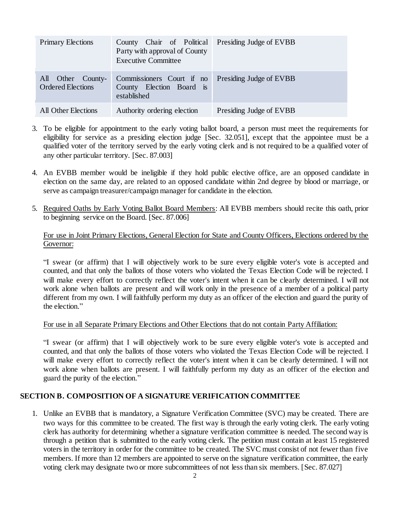| <b>Primary Elections</b>                      | County Chair of Political Presiding Judge of EVBB<br>Party with approval of County<br><b>Executive Committee</b> |                         |
|-----------------------------------------------|------------------------------------------------------------------------------------------------------------------|-------------------------|
| All Other County-<br><b>Ordered Elections</b> | Commissioners Court if no<br>County Election Board is<br>established                                             | Presiding Judge of EVBB |
| <b>All Other Elections</b>                    | Authority ordering election                                                                                      | Presiding Judge of EVBB |

- 3. To be eligible for appointment to the early voting ballot board, a person must meet the requirements for eligibility for service as a presiding election judge [Sec. 32.051], except that the appointee must be a qualified voter of the territory served by the early voting clerk and is not required to be a qualified voter of any other particular territory. [Sec. 87.003]
- 4. An EVBB member would be ineligible if they hold public elective office, are an opposed candidate in election on the same day, are related to an opposed candidate within 2nd degree by blood or marriage, or serve as campaign treasurer/campaign manager for candidate in the election.
- 5. Required Oaths by Early Voting Ballot Board Members: All EVBB members should recite this oath, prior to beginning service on the Board. [Sec. 87.006]

# For use in Joint Primary Elections, General Election for State and County Officers, Elections ordered by the Governor:

"I swear (or affirm) that I will objectively work to be sure every eligible voter's vote is accepted and counted, and that only the ballots of those voters who violated the Texas Election Code will be rejected. I will make every effort to correctly reflect the voter's intent when it can be clearly determined. I will not work alone when ballots are present and will work only in the presence of a member of a political party different from my own. I will faithfully perform my duty as an officer of the election and guard the purity of the election."

### For use in all Separate Primary Elections and Other Elections that do not contain Party Affiliation:

"I swear (or affirm) that I will objectively work to be sure every eligible voter's vote is accepted and counted, and that only the ballots of those voters who violated the Texas Election Code will be rejected. I will make every effort to correctly reflect the voter's intent when it can be clearly determined. I will not work alone when ballots are present. I will faithfully perform my duty as an officer of the election and guard the purity of the election."

### **SECTION B. COMPOSITION OF A SIGNATURE VERIFICATION COMMITTEE**

1. Unlike an EVBB that is mandatory, a Signature Verification Committee (SVC) may be created. There are two ways for this committee to be created. The first way is through the early voting clerk. The early voting clerk has authority for determining whether a signature verification committee is needed. The second way is through a petition that is submitted to the early voting clerk. The petition must contain at least 15 registered voters in the territory in order for the committee to be created. The SVC must consist of not fewer than five members. If more than 12 members are appointed to serve on the signature verification committee, the early voting clerk may designate two or more subcommittees of not less than six members. [Sec. 87.027]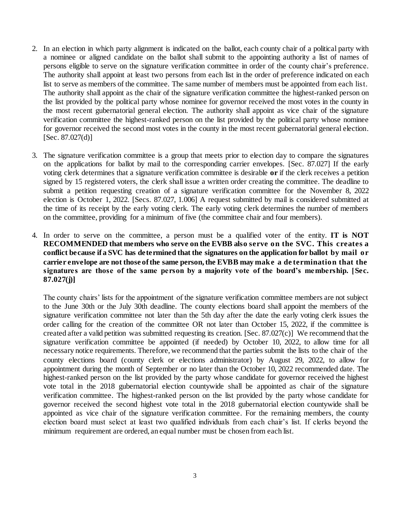- 2. In an election in which party alignment is indicated on the ballot, each county chair of a political party with a nominee or aligned candidate on the ballot shall submit to the appointing authority a list of names of persons eligible to serve on the signature verification committee in order of the county chair's preference. The authority shall appoint at least two persons from each list in the order of preference indicated on each list to serve as members of the committee. The same number of members must be appointed from each list. The authority shall appoint as the chair of the signature verification committee the highest-ranked person on the list provided by the political party whose nominee for governor received the most votes in the county in the most recent gubernatorial general election. The authority shall appoint as vice chair of the signature verification committee the highest-ranked person on the list provided by the political party whose nominee for governor received the second most votes in the county in the most recent gubernatorial general election.  $[Sec. 87.027(d)]$
- 3. The signature verification committee is a group that meets prior to election day to compare the signatures on the applications for ballot by mail to the corresponding carrier envelopes. [Sec. 87.027] If the early voting clerk determines that a signature verification committee is desirable **or** if the clerk receives a petition signed by 15 registered voters, the clerk shall issue a written order creating the committee. The deadline to submit a petition requesting creation of a signature verification committee for the November 8, 2022 election is October 1, 2022. [Secs. 87.027, 1.006] A request submitted by mail is considered submitted at the time of its receipt by the early voting clerk. The early voting clerk determines the number of members on the committee, providing for a minimum of five (the committee chair and four members).
- 4. In order to serve on the committee, a person must be a qualified voter of the entity. **IT is NOT RECOMMENDED that members who serve on the EVBB also serve on the SVC. This creates a conflict because if a SVC has determined that the signatures on the application for ballot by mail or carrier envelope are not those of the same person, the EVBB may make a de termination that the signatures are those of the same person by a majority vote of the board's membership. [Sec. 87.027(j)]**

The county chairs' lists for the appointment of the signature verification committee members are not subject to the June 30th or the July 30th deadline. The county elections board shall appoint the members of the signature verification committee not later than the 5th day after the date the early voting clerk issues the order calling for the creation of the committee OR not later than October 15, 2022, if the committee is created after a valid petition was submitted requesting its creation. [Sec. 87.027(c)] We recommend that the signature verification committee be appointed (if needed) by October 10, 2022, to allow time for all necessary notice requirements. Therefore, we recommend that the parties submit the lists to the chair of the county elections board (county clerk or elections administrator) by August 29, 2022, to allow for appointment during the month of September or no later than the October 10, 2022 recommended date. The highest-ranked person on the list provided by the party whose candidate for governor received the highest vote total in the 2018 gubernatorial election countywide shall be appointed as chair of the signature verification committee. The highest-ranked person on the list provided by the party whose candidate for governor received the second highest vote total in the 2018 gubernatorial election countywide shall be appointed as vice chair of the signature verification committee. For the remaining members, the county election board must select at least two qualified individuals from each chair's list. If clerks beyond the minimum requirement are ordered, an equal number must be chosen from each list.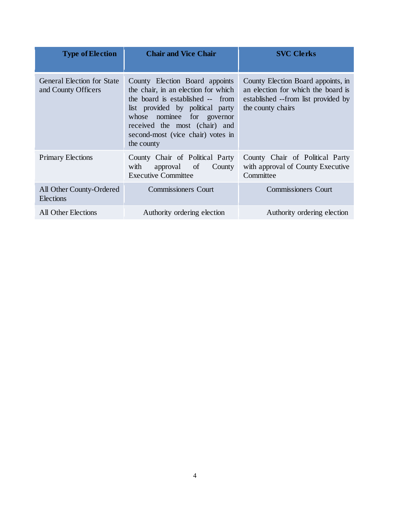| <b>Type of Election</b>                           | <b>Chair and Vice Chair</b>                                                                                                                                                                                                                                     | <b>SVC Clerks</b>                                                                                                                    |
|---------------------------------------------------|-----------------------------------------------------------------------------------------------------------------------------------------------------------------------------------------------------------------------------------------------------------------|--------------------------------------------------------------------------------------------------------------------------------------|
| General Election for State<br>and County Officers | County Election Board appoints<br>the chair, in an election for which<br>the board is established -- from<br>list provided by political party<br>whose nominee for governor<br>received the most (chair) and<br>second-most (vice chair) votes in<br>the county | County Election Board appoints, in<br>an election for which the board is<br>established --from list provided by<br>the county chairs |
| <b>Primary Elections</b>                          | County Chair of Political Party<br>with<br>County<br>approval of<br><b>Executive Committee</b>                                                                                                                                                                  | County Chair of Political Party<br>with approval of County Executive<br>Committee                                                    |
| All Other County-Ordered<br>Elections             | <b>Commissioners Court</b>                                                                                                                                                                                                                                      | <b>Commissioners Court</b>                                                                                                           |
| <b>All Other Elections</b>                        | Authority ordering election                                                                                                                                                                                                                                     | Authority ordering election                                                                                                          |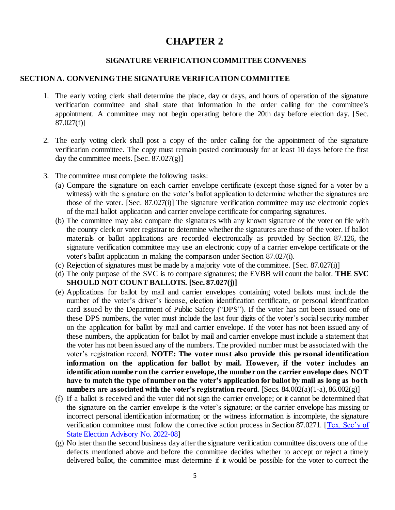# **CHAPTER 2**

# **SIGNATURE VERIFICATION COMMITTEE CONVENES**

### **SECTION A. CONVENING THE SIGNATURE VERIFICATION COMMITTEE**

- 1. The early voting clerk shall determine the place, day or days, and hours of operation of the signature verification committee and shall state that information in the order calling for the committee's appointment. A committee may not begin operating before the 20th day before election day. [Sec. 87.027(f)]
- 2. The early voting clerk shall post a copy of the order calling for the appointment of the signature verification committee. The copy must remain posted continuously for at least 10 days before the first day the committee meets. [Sec.  $87.027(g)$ ]
- 3. The committee must complete the following tasks:
	- (a) Compare the signature on each carrier envelope certificate (except those signed for a voter by a witness) with the signature on the voter's ballot application to determine whether the signatures are those of the voter. [Sec. 87.027(i)] The signature verification committee may use electronic copies of the mail ballot application and carrier envelope certificate for comparing signatures.
	- (b) The committee may also compare the signatures with any known signature of the voter on file with the county clerk or voter registrar to determine whether the signatures are those of the voter. If ballot materials or ballot applications are recorded electronically as provided by Section 87.126, the signature verification committee may use an electronic copy of a carrier envelope certificate or the voter's ballot application in making the comparison under Section 87.027(i).
	- (c) Rejection of signatures must be made by a majority vote of the committee. [Sec. 87.027(i)]
	- (d) The only purpose of the SVC is to compare signatures; the EVBB will count the ballot. **THE SVC SHOULD NOT COUNT BALLOTS. [Sec. 87.027(j)]**
	- (e) Applications for ballot by mail and carrier envelopes containing voted ballots must include the number of the voter's driver's license, election identification certificate, or personal identification card issued by the Department of Public Safety ("DPS"). If the voter has not been issued one of these DPS numbers, the voter must include the last four digits of the voter's social security number on the application for ballot by mail and carrier envelope. If the voter has not been issued any of these numbers, the application for ballot by mail and carrier envelope must include a statement that the voter has not been issued any of the numbers. The provided number must be associated with the voter's registration record. **NOTE: The voter must also provide this personal identification information on the application for ballot by mail. However, if the voter includes an identification number on the carrier envelope, the number on the carrier envelope does NOT have to match the type of number on the voter's application for ballot by mail as long as both numbers are associated with the voter's registration record**. [Secs. 84.002(a)(1-a), 86.002(g)]
	- (f) If a ballot is received and the voter did not sign the carrier envelope; or it cannot be determined that the signature on the carrier envelope is the voter's signature; or the carrier envelope has missing or incorrect personal identification information; or the witness information is incomplete, the signature verification committee must follow the corrective action process in Section 87.0271. [Tex. Sec'y of [State Election Advisory No. 2022-08\]](https://www.sos.texas.gov/elections/laws/advisory2022-08.shtml)
	- (g) No later than the second business day after the signature verification committee discovers one of the defects mentioned above and before the committee decides whether to accept or reject a timely delivered ballot, the committee must determine if it would be possible for the voter to correct the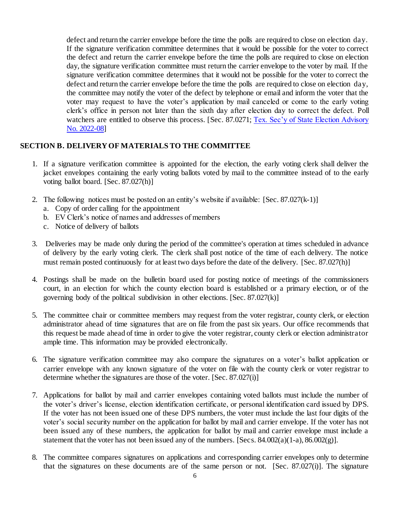defect and return the carrier envelope before the time the polls are required to close on election day. If the signature verification committee determines that it would be possible for the voter to correct the defect and return the carrier envelope before the time the polls are required to close on election day, the signature verification committee must return the carrier envelope to the voter by mail. If the signature verification committee determines that it would not be possible for the voter to correct the defect and return the carrier envelope before the time the polls are required to close on election day, the committee may notify the voter of the defect by telephone or email and inform the voter that the voter may request to have the voter's application by mail canceled or come to the early voting clerk's office in person not later than the sixth day after election day to correct the defect. Poll watchers are entitled to observe this process. [Sec. 87.0271; Tex. Sec'y of State Election Advisory [No. 2022-08\]](https://www.sos.texas.gov/elections/laws/advisory2022-08.shtml)

# **SECTION B. DELIVERY OF MATERIALS TO THE COMMITTEE**

- 1. If a signature verification committee is appointed for the election, the early voting clerk shall deliver the jacket envelopes containing the early voting ballots voted by mail to the committee instead of to the early voting ballot board. [Sec. 87.027(h)]
- 2. The following notices must be posted on an entity's website if available: [Sec. 87.027(k-1)]
	- a. Copy of order calling for the appointment
	- b. EV Clerk's notice of names and addresses of members
	- c. Notice of delivery of ballots
- 3. Deliveries may be made only during the period of the committee's operation at times scheduled in advance of delivery by the early voting clerk. The clerk shall post notice of the time of each delivery. The notice must remain posted continuously for at least two days before the date of the delivery. [Sec. 87.027(h)]
- 4. Postings shall be made on the bulletin board used for posting notice of meetings of the commissioners court, in an election for which the county election board is established or a primary election, or of the governing body of the political subdivision in other elections. [Sec. 87.027(k)]
- 5. The committee chair or committee members may request from the voter registrar, county clerk, or election administrator ahead of time signatures that are on file from the past six years. Our office recommends that this request be made ahead of time in order to give the voter registrar, county clerk or election administrator ample time. This information may be provided electronically.
- 6. The signature verification committee may also compare the signatures on a voter's ballot application or carrier envelope with any known signature of the voter on file with the county clerk or voter registrar to determine whether the signatures are those of the voter. [Sec. 87.027(i)]
- 7. Applications for ballot by mail and carrier envelopes containing voted ballots must include the number of the voter's driver's license, election identification certificate, or personal identification card issued by DPS. If the voter has not been issued one of these DPS numbers, the voter must include the last four digits of the voter's social security number on the application for ballot by mail and carrier envelope. If the voter has not been issued any of these numbers, the application for ballot by mail and carrier envelope must include a statement that the voter has not been issued any of the numbers. [Secs.  $84.002(a)(1-a)$ ,  $86.002(g)$ ].
- 8. The committee compares signatures on applications and corresponding carrier envelopes only to determine that the signatures on these documents are of the same person or not. [Sec. 87.027(i)]. The signature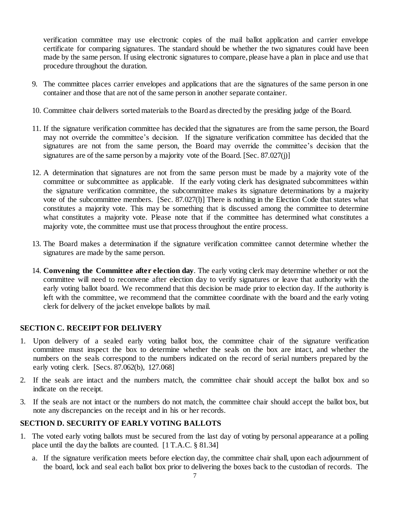verification committee may use electronic copies of the mail ballot application and carrier envelope certificate for comparing signatures. The standard should be whether the two signatures could have been made by the same person. If using electronic signatures to compare, please have a plan in place and use that procedure throughout the duration.

- 9. The committee places carrier envelopes and applications that are the signatures of the same person in one container and those that are not of the same person in another separate container.
- 10. Committee chair delivers sorted materials to the Board as directed by the presiding judge of the Board.
- 11. If the signature verification committee has decided that the signatures are from the same person, the Board may not override the committee's decision. If the signature verification committee has decided that the signatures are not from the same person, the Board may override the committee's decision that the signatures are of the same person by a majority vote of the Board. [Sec. 87.027(j)]
- 12. A determination that signatures are not from the same person must be made by a majority vote of the committee or subcommittee as applicable. If the early voting clerk has designated subcommittees within the signature verification committee, the subcommittee makes its signature determinations by a majority vote of the subcommittee members. [Sec. 87.027(l)] There is nothing in the Election Code that states what constitutes a majority vote. This may be something that is discussed among the committee to determine what constitutes a majority vote. Please note that if the committee has determined what constitutes a majority vote, the committee must use that process throughout the entire process.
- 13. The Board makes a determination if the signature verification committee cannot determine whether the signatures are made by the same person.
- 14. **Convening the Committee after election day**. The early voting clerk may determine whether or not the committee will need to reconvene after election day to verify signatures or leave that authority with the early voting ballot board. We recommend that this decision be made prior to election day. If the authority is left with the committee, we recommend that the committee coordinate with the board and the early voting clerk for delivery of the jacket envelope ballots by mail.

### **SECTION C. RECEIPT FOR DELIVERY**

- 1. Upon delivery of a sealed early voting ballot box, the committee chair of the signature verification committee must inspect the box to determine whether the seals on the box are intact, and whether the numbers on the seals correspond to the numbers indicated on the record of serial numbers prepared by the early voting clerk. [Secs. 87.062(b), 127.068]
- 2. If the seals are intact and the numbers match, the committee chair should accept the ballot box and so indicate on the receipt.
- 3. If the seals are not intact or the numbers do not match, the committee chair should accept the ballot box, but note any discrepancies on the receipt and in his or her records.

### **SECTION D. SECURITY OF EARLY VOTING BALLOTS**

- 1. The voted early voting ballots must be secured from the last day of voting by personal appearance at a polling place until the day the ballots are counted. [1 T.A.C. § 81.34]
	- a. If the signature verification meets before election day, the committee chair shall, upon each adjournment of the board, lock and seal each ballot box prior to delivering the boxes back to the custodian of records. The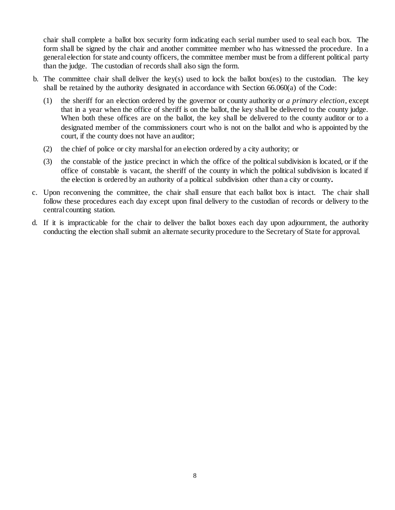chair shall complete a ballot box security form indicating each serial number used to seal each box. The form shall be signed by the chair and another committee member who has witnessed the procedure. In a general election for state and county officers, the committee member must be from a different political party than the judge. The custodian of records shall also sign the form.

- b. The committee chair shall deliver the key(s) used to lock the ballot box(es) to the custodian. The key shall be retained by the authority designated in accordance with Section 66.060(a) of the Code:
	- (1) the sheriff for an election ordered by the governor or county authority or *a primary election*, except that in a year when the office of sheriff is on the ballot, the key shall be delivered to the county judge. When both these offices are on the ballot, the key shall be delivered to the county auditor or to a designated member of the commissioners court who is not on the ballot and who is appointed by the court, if the county does not have an auditor;
	- (2) the chief of police or city marshal for an election ordered by a city authority; or
	- (3) the constable of the justice precinct in which the office of the political subdivision is located, or if the office of constable is vacant, the sheriff of the county in which the political subdivision is located if the election is ordered by an authority of a political subdivision other than a city or county**.**
- c. Upon reconvening the committee, the chair shall ensure that each ballot box is intact. The chair shall follow these procedures each day except upon final delivery to the custodian of records or delivery to the central counting station.
- d. If it is impracticable for the chair to deliver the ballot boxes each day upon adjournment, the authority conducting the election shall submit an alternate security procedure to the Secretary of State for approval.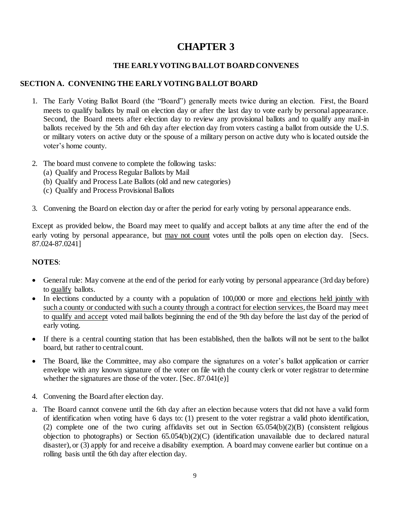# **CHAPTER 3**

# **THE EARLY VOTING BALLOT BOARD CONVENES**

# **SECTION A. CONVENING THE EARLY VOTING BALLOT BOARD**

- 1. The Early Voting Ballot Board (the "Board") generally meets twice during an election. First, the Board meets to qualify ballots by mail on election day or after the last day to vote early by personal appearance. Second, the Board meets after election day to review any provisional ballots and to qualify any mail-in ballots received by the 5th and 6th day after election day from voters casting a ballot from outside the U.S. or military voters on active duty or the spouse of a military person on active duty who is located outside the voter's home county.
- 2. The board must convene to complete the following tasks:
	- (a) Qualify and Process Regular Ballots by Mail
	- (b) Qualify and Process Late Ballots (old and new categories)
	- (c) Qualify and Process Provisional Ballots
- 3. Convening the Board on election day or after the period for early voting by personal appearance ends.

Except as provided below, the Board may meet to qualify and accept ballots at any time after the end of the early voting by personal appearance, but may not count votes until the polls open on election day. [Secs.] 87.024-87.0241]

# **NOTES**:

- General rule: May convene at the end of the period for early voting by personal appearance (3rd day before) to qualify ballots.
- In elections conducted by a county with a population of 100,000 or more and elections held jointly with such a county or conducted with such a county through a contract for election services, the Board may meet to qualify and accept voted mail ballots beginning the end of the 9th day before the last day of the period of early voting.
- If there is a central counting station that has been established, then the ballots will not be sent to the ballot board, but rather to central count.
- The Board, like the Committee, may also compare the signatures on a voter's ballot application or carrier envelope with any known signature of the voter on file with the county clerk or voter registrar to determine whether the signatures are those of the voter. [Sec. 87.041(e)]
- 4. Convening the Board after election day.
- a. The Board cannot convene until the 6th day after an election because voters that did not have a valid form of identification when voting have 6 days to: (1) present to the voter registrar a valid photo identification, (2) complete one of the two curing affidavits set out in Section 65.054(b)(2)(B) (consistent religious objection to photographs) or Section 65.054(b)(2)(C) (identification unavailable due to declared natural disaster), or (3) apply for and receive a disability exemption. A board may convene earlier but continue on a rolling basis until the 6th day after election day.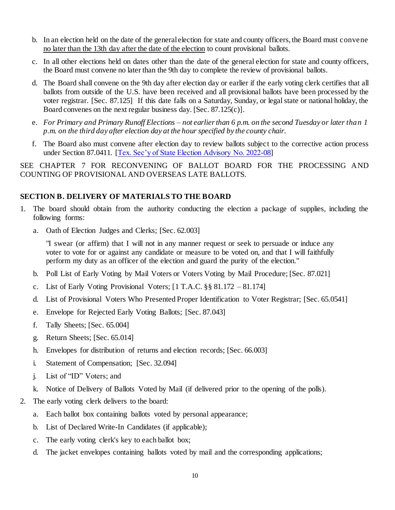- b. In an election held on the date of the general election for state and county officers, the Board must convene no later than the 13th day after the date of the election to count provisional ballots.
- c. In all other elections held on dates other than the date of the general election for state and county officers, the Board must convene no later than the 9th day to complete the review of provisional ballots.
- d. The Board shall convene on the 9th day after election day or earlier if the early voting clerk certifies that all ballots from outside of the U.S. have been received and all provisional ballots have been processed by the voter registrar. [Sec. 87.125] If this date falls on a Saturday, Sunday, or legal state or national holiday, the Board convenes on the next regular business day. [Sec. 87.125(c)].
- e. *For Primary and Primary Runoff Elections – not earlier than 6 p.m. on the second Tuesday or later than 1 p.m. on the third day after election day at the hour specified by the county chair.*
- f. The Board also must convene after election day to review ballots subject to the corrective action process under Section 87.0411. [\[Tex. Sec'y of State Election Advisory No. 2022-08\]](https://www.sos.texas.gov/elections/laws/advisory2022-08.shtml)

SEE CHAPTER 7 FOR RECONVENING OF BALLOT BOARD FOR THE PROCESSING AND COUNTING OF PROVISIONAL AND OVERSEAS LATE BALLOTS.

# <span id="page-13-0"></span>**SECTION B. DELIVERY OF MATERIALS TO THE BOARD**

- 1. The board should obtain from the authority conducting the election a package of supplies, including the following forms:
	- a. Oath of Election Judges and Clerks; [Sec. 62.003]

"I swear (or affirm) that I will not in any manner request or seek to persuade or induce any voter to vote for or against any candidate or measure to be voted on, and that I will faithfully perform my duty as an officer of the election and guard the purity of the election."

- b. Poll List of Early Voting by Mail Voters or Voters Voting by Mail Procedure; [Sec. 87.021]
- c. List of Early Voting Provisional Voters;  $[1 T.A.C. § § 81.172 81.174]$
- d. List of Provisional Voters Who Presented Proper Identification to Voter Registrar; [Sec. 65.0541]
- e. Envelope for Rejected Early Voting Ballots; [Sec. 87.043]
- f. Tally Sheets; [Sec. 65.004]
- g. Return Sheets; [Sec. 65.014]
- h. Envelopes for distribution of returns and election records; [Sec. 66.003]
- i. Statement of Compensation; [Sec. 32.094]
- j. List of "ID" Voters; and
- k. Notice of Delivery of Ballots Voted by Mail (if delivered prior to the opening of the polls).
- 2. The early voting clerk delivers to the board:
	- a. Each ballot box containing ballots voted by personal appearance;
	- b. List of Declared Write-In Candidates (if applicable);
	- c. The early voting clerk's key to each ballot box;
	- d. The jacket envelopes containing ballots voted by mail and the corresponding applications;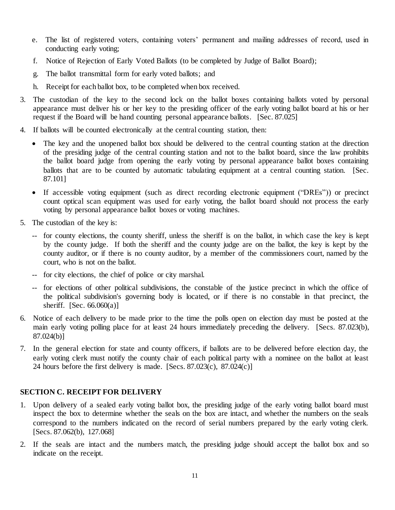- e. The list of registered voters, containing voters' permanent and mailing addresses of record, used in conducting early voting;
- f. Notice of Rejection of Early Voted Ballots (to be completed by Judge of Ballot Board);
- g. The ballot transmittal form for early voted ballots; and
- h. Receipt for each ballot box, to be completed when box received.
- 3. The custodian of the key to the second lock on the ballot boxes containing ballots voted by personal appearance must deliver his or her key to the presiding officer of the early voting ballot board at his or her request if the Board will be hand counting personal appearance ballots. [Sec. 87.025]
- 4. If ballots will be counted electronically at the central counting station, then:
	- The key and the unopened ballot box should be delivered to the central counting station at the direction of the presiding judge of the central counting station and not to the ballot board, since the law prohibits the ballot board judge from opening the early voting by personal appearance ballot boxes containing ballots that are to be counted by automatic tabulating equipment at a central counting station. [Sec. 87.101]
	- If accessible voting equipment (such as direct recording electronic equipment ("DREs")) or precinct count optical scan equipment was used for early voting, the ballot board should not process the early voting by personal appearance ballot boxes or voting machines.
- 5. The custodian of the key is:
	- -- for county elections, the county sheriff, unless the sheriff is on the ballot, in which case the key is kept by the county judge. If both the sheriff and the county judge are on the ballot, the key is kept by the county auditor, or if there is no county auditor, by a member of the commissioners court, named by the court, who is not on the ballot.
	- -- for city elections, the chief of police or city marshal.
	- -- for elections of other political subdivisions, the constable of the justice precinct in which the office of the political subdivision's governing body is located, or if there is no constable in that precinct, the sheriff. [Sec.  $66.060(a)$ ]
- 6. Notice of each delivery to be made prior to the time the polls open on election day must be posted at the main early voting polling place for at least 24 hours immediately preceding the delivery. [Secs. 87.023(b), 87.024(b)]
- 7. In the general election for state and county officers, if ballots are to be delivered before election day, the early voting clerk must notify the county chair of each political party with a nominee on the ballot at least 24 hours before the first delivery is made. [Secs.  $87.023(c)$ ,  $87.024(c)$ ]

# <span id="page-14-0"></span>**SECTION C. RECEIPT FOR DELIVERY**

- 1. Upon delivery of a sealed early voting ballot box, the presiding judge of the early voting ballot board must inspect the box to determine whether the seals on the box are intact, and whether the numbers on the seals correspond to the numbers indicated on the record of serial numbers prepared by the early voting clerk. [Secs. 87.062(b), 127.068]
- 2. If the seals are intact and the numbers match, the presiding judge should accept the ballot box and so indicate on the receipt.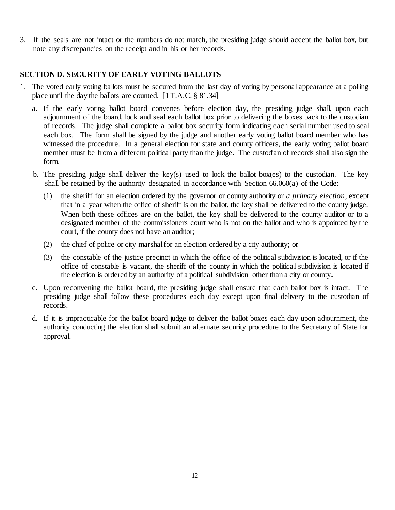3. If the seals are not intact or the numbers do not match, the presiding judge should accept the ballot box, but note any discrepancies on the receipt and in his or her records.

# <span id="page-15-0"></span>**SECTION D. SECURITY OF EARLY VOTING BALLOTS**

- 1. The voted early voting ballots must be secured from the last day of voting by personal appearance at a polling place until the day the ballots are counted. [1 T.A.C. § 81.34]
	- a. If the early voting ballot board convenes before election day, the presiding judge shall, upon each adjournment of the board, lock and seal each ballot box prior to delivering the boxes back to the custodian of records. The judge shall complete a ballot box security form indicating each serial number used to seal each box. The form shall be signed by the judge and another early voting ballot board member who has witnessed the procedure. In a general election for state and county officers, the early voting ballot board member must be from a different political party than the judge. The custodian of records shall also sign the form.
	- b. The presiding judge shall deliver the key(s) used to lock the ballot box(es) to the custodian. The key shall be retained by the authority designated in accordance with Section 66.060(a) of the Code:
		- (1) the sheriff for an election ordered by the governor or county authority or *a primary election*, except that in a year when the office of sheriff is on the ballot, the key shall be delivered to the county judge. When both these offices are on the ballot, the key shall be delivered to the county auditor or to a designated member of the commissioners court who is not on the ballot and who is appointed by the court, if the county does not have an auditor;
		- (2) the chief of police or city marshal for an election ordered by a city authority; or
		- (3) the constable of the justice precinct in which the office of the political subdivision is located, or if the office of constable is vacant, the sheriff of the county in which the political subdivision is located if the election is ordered by an authority of a political subdivision other than a city or county**.**
	- c. Upon reconvening the ballot board, the presiding judge shall ensure that each ballot box is intact. The presiding judge shall follow these procedures each day except upon final delivery to the custodian of records.
	- d. If it is impracticable for the ballot board judge to deliver the ballot boxes each day upon adjournment, the authority conducting the election shall submit an alternate security procedure to the Secretary of State for approval.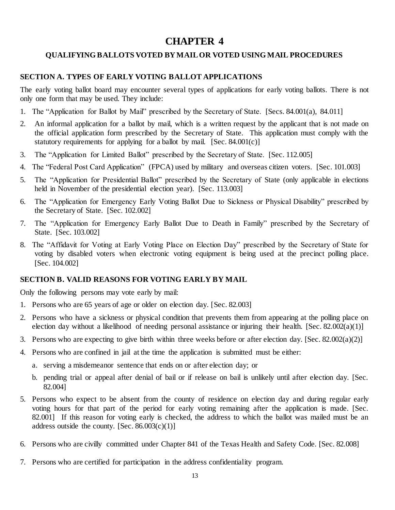# **CHAPTER 4**

# <span id="page-16-0"></span>**QUALIFYING BALLOTS VOTED BY MAIL OR VOTED USING MAIL PROCEDURES**

### <span id="page-16-1"></span>**SECTION A. TYPES OF EARLY VOTING BALLOT APPLICATIONS**

The early voting ballot board may encounter several types of applications for early voting ballots. There is not only one form that may be used. They include:

- 1. The "Application for Ballot by Mail" prescribed by the Secretary of State. [Secs. 84.001(a), 84.011]
- 2. An informal application for a ballot by mail, which is a written request by the applicant that is not made on the official application form prescribed by the Secretary of State. This application must comply with the statutory requirements for applying for a ballot by mail. [Sec.  $84.001(c)$ ]
- 3. The "Application for Limited Ballot" prescribed by the Secretary of State. [Sec. 112.005]
- 4. The "Federal Post Card Application" (FPCA) used by military and overseas citizen voters. [Sec. 101.003]
- 5. The "Application for Presidential Ballot" prescribed by the Secretary of State (only applicable in elections held in November of the presidential election year). [Sec. 113.003]
- 6. The "Application for Emergency Early Voting Ballot Due to Sickness or Physical Disability" prescribed by the Secretary of State. [Sec. 102.002]
- 7. The "Application for Emergency Early Ballot Due to Death in Family" prescribed by the Secretary of State. [Sec. 103.002]
- 8. The "Affidavit for Voting at Early Voting Place on Election Day" prescribed by the Secretary of State for voting by disabled voters when electronic voting equipment is being used at the precinct polling place. [Sec. 104.002]

### <span id="page-16-2"></span>**SECTION B. VALID REASONS FOR VOTING EARLY BY MAIL**

Only the following persons may vote early by mail:

- 1. Persons who are 65 years of age or older on election day. [Sec. 82.003]
- 2. Persons who have a sickness or physical condition that prevents them from appearing at the polling place on election day without a likelihood of needing personal assistance or injuring their health. [Sec. 82.002(a)(1)]
- 3. Persons who are expecting to give birth within three weeks before or after election day. [Sec. 82.002(a)(2)]
- 4. Persons who are confined in jail at the time the application is submitted must be either:
	- a. serving a misdemeanor sentence that ends on or after election day; or
	- b. pending trial or appeal after denial of bail or if release on bail is unlikely until after election day. [Sec. 82.004]
- 5. Persons who expect to be absent from the county of residence on election day and during regular early voting hours for that part of the period for early voting remaining after the application is made. [Sec. 82.001] If this reason for voting early is checked, the address to which the ballot was mailed must be an address outside the county.  $[Sec. 86.003(c)(1)]$
- 6. Persons who are civilly committed under Chapter 841 of the Texas Health and Safety Code. [Sec. 82.008]
- 7. Persons who are certified for participation in the address confidentiality program.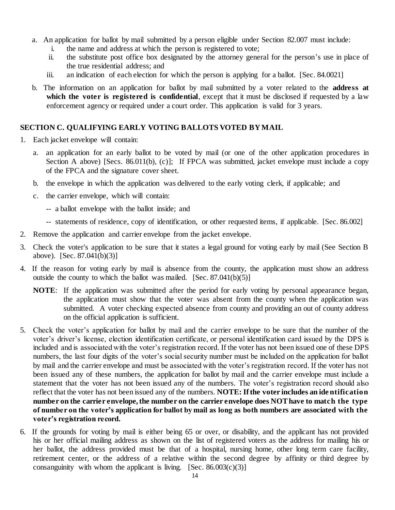- a. An application for ballot by mail submitted by a person eligible under Section 82.007 must include:
	- i. the name and address at which the person is registered to vote;
	- ii. the substitute post office box designated by the attorney general for the person's use in place of the true residential address; and
	- iii. an indication of each election for which the person is applying for a ballot. [Sec. 84.0021]
- b. The information on an application for ballot by mail submitted by a voter related to the **address at which the voter is registered is confidential**, except that it must be disclosed if requested by a law enforcement agency or required under a court order. This application is valid for 3 years.

# <span id="page-17-0"></span>**SECTION C. QUALIFYING EARLY VOTING BALLOTS VOTED BY MAIL**

- 1. Each jacket envelope will contain:
	- a. an application for an early ballot to be voted by mail (or one of the other application procedures in Section A above) [Secs. 86.011(b), (c)]; If FPCA was submitted, jacket envelope must include a copy of the FPCA and the signature cover sheet.
	- b. the envelope in which the application was delivered to the early voting clerk, if applicable; and
	- c. the carrier envelope, which will contain:
		- -- a ballot envelope with the ballot inside; and
		- -- statements of residence, copy of identification, or other requested items, if applicable. [Sec. 86.002]
- 2. Remove the application and carrier envelope from the jacket envelope.
- 3. Check the voter's application to be sure that it states a legal ground for voting early by mail (See Section B above). [Sec. 87.041(b)(3)]
- 4. If the reason for voting early by mail is absence from the county, the application must show an address outside the county to which the ballot was mailed.  $[Sec. 87.041(b)(5)]$ 
	- **NOTE**: If the application was submitted after the period for early voting by personal appearance began, the application must show that the voter was absent from the county when the application was submitted. A voter checking expected absence from county and providing an out of county address on the official application is sufficient.
- 5. Check the voter's application for ballot by mail and the carrier envelope to be sure that the number of the voter's driver's license, election identification certificate, or personal identification card issued by the DPS is included and is associated with the voter's registration record. If the voter has not been issued one of these DPS numbers, the last four digits of the voter's social security number must be included on the application for ballot by mail and the carrier envelope and must be associated with the voter's registration record. If the voter has not been issued any of these numbers, the application for ballot by mail and the carrier envelope must include a statement that the voter has not been issued any of the numbers. The voter's registration record should also reflect that the voter has not been issued any of the numbers. **NOTE: If the voter includes an ide ntification number on the carrier envelope, the number on the carrier envelope does NOT have to match the type of number on the voter's application for ballot by mail as long as both numbers are associated with the voter's registration record.**
- 6. If the grounds for voting by mail is either being 65 or over, or disability, and the applicant has not provided his or her official mailing address as shown on the list of registered voters as the address for mailing his or her ballot, the address provided must be that of a hospital, nursing home, other long term care facility, retirement center, or the address of a relative within the second degree by affinity or third degree by consanguinity with whom the applicant is living.  $[Sec. 86.003(c)(3)]$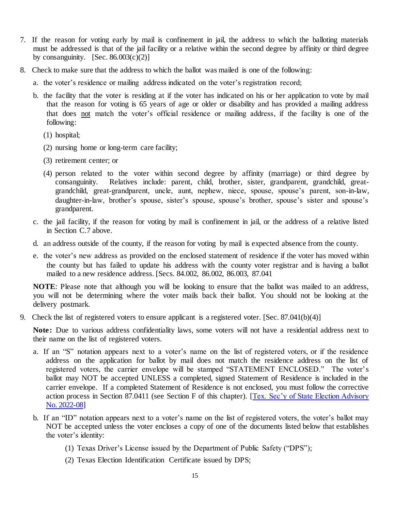- 7. If the reason for voting early by mail is confinement in jail, the address to which the balloting materials must be addressed is that of the jail facility or a relative within the second degree by affinity or third degree by consanguinity.  $[Sec. 86.003(c)(2)]$
- 8. Check to make sure that the address to which the ballot was mailed is one of the following:
	- a. the voter's residence or mailing address indicated on the voter's registration record;
	- b. the facility that the voter is residing at if the voter has indicated on his or her application to vote by mail that the reason for voting is 65 years of age or older or disability and has provided a mailing address that does not match the voter's official residence or mailing address, if the facility is one of the following:
		- (1) hospital;
		- (2) nursing home or long-term care facility;
		- (3) retirement center; or
		- (4) person related to the voter within second degree by affinity (marriage) or third degree by consanguinity. Relatives include: parent, child, brother, sister, grandparent, grandchild, greatgrandchild, great-grandparent, uncle, aunt, nephew, niece, spouse, spouse's parent, son-in-law, daughter-in-law, brother's spouse, sister's spouse, spouse's brother, spouse's sister and spouse's grandparent.
	- c. the jail facility, if the reason for voting by mail is confinement in jail, or the address of a relative listed in Section C.7 above.
	- d. an address outside of the county, if the reason for voting by mail is expected absence from the county.
	- e. the voter's new address as provided on the enclosed statement of residence if the voter has moved within the county but has failed to update his address with the county voter registrar and is having a ballot mailed to a new residence address. [Secs. 84.002, 86.002, 86.003, 87.041

**NOTE**: Please note that although you will be looking to ensure that the ballot was mailed to an address, you will not be determining where the voter mails back their ballot. You should not be looking at the delivery postmark.

9. Check the list of registered voters to ensure applicant is a registered voter. [Sec. 87.041(b)(4)]

**Note:** Due to various address confidentiality laws, some voters will not have a residential address next to their name on the list of registered voters.

- a. If an "S" notation appears next to a voter's name on the list of registered voters, or if the residence address on the application for ballot by mail does not match the residence address on the list of registered voters, the carrier envelope will be stamped "STATEMENT ENCLOSED." The voter's ballot may NOT be accepted UNLESS a completed, signed Statement of Residence is included in the carrier envelope. If a completed Statement of Residence is not enclosed, you must follow the corrective action process in Section 87.0411 (see Section F of this chapter). [\[Tex. Sec'y of State Election Advisory](https://www.sos.texas.gov/elections/laws/advisory2022-08.shtml)  [No. 2022-08\]](https://www.sos.texas.gov/elections/laws/advisory2022-08.shtml)
- b. If an "ID" notation appears next to a voter's name on the list of registered voters, the voter's ballot may NOT be accepted unless the voter encloses a copy of one of the documents listed below that establishes the voter's identity:
	- (1) Texas Driver's License issued by the Department of Public Safety ("DPS");
	- (2) Texas Election Identification Certificate issued by DPS;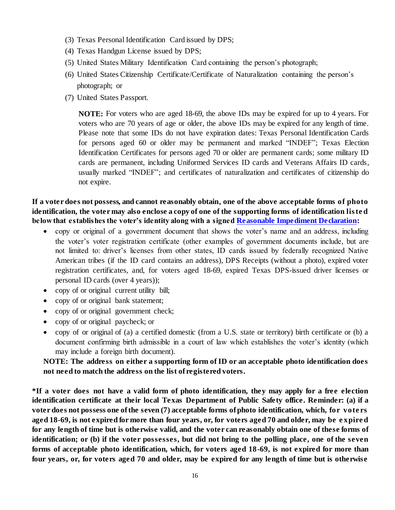- (3) Texas Personal Identification Card issued by DPS;
- (4) Texas Handgun License issued by DPS;
- (5) United States Military Identification Card containing the person's photograph;
- (6) United States Citizenship Certificate/Certificate of Naturalization containing the person's photograph; or
- (7) United States Passport.

**NOTE:** For voters who are aged 18-69, the above IDs may be expired for up to 4 years. For voters who are 70 years of age or older, the above IDs may be expired for any length of time. Please note that some IDs do not have expiration dates: Texas Personal Identification Cards for persons aged 60 or older may be permanent and marked "INDEF"; Texas Election Identification Certificates for persons aged 70 or older are permanent cards; some military ID cards are permanent, including Uniformed Services ID cards and Veterans Affairs ID cards, usually marked "INDEF"; and certificates of naturalization and certificates of citizenship do not expire.

**If a voter does not possess, and cannot reasonably obtain, one of the above acceptable forms of photo identification, the voter may also enclose a copy of one of the supporting forms of identification lis te d below that establishes the voter's identity along with a signed [Reasonable Impediment Declaration:](https://webservices.sos.state.tx.us/forms/reasonable-impediment-declaration.pdf)**

- copy or original of a government document that shows the voter's name and an address, including the voter's voter registration certificate (other examples of government documents include, but are not limited to: driver's licenses from other states, ID cards issued by federally recognized Native American tribes (if the ID card contains an address), DPS Receipts (without a photo), expired voter registration certificates, and, for voters aged 18-69, expired Texas DPS-issued driver licenses or personal ID cards (over 4 years));
- copy of or original current utility bill;
- copy of or original bank statement;
- copy of or original government check;
- copy of or original paycheck; or
- copy of or original of (a) a certified domestic (from a U.S. state or territory) birth certificate or (b) a document confirming birth admissible in a court of law which establishes the voter's identity (which may include a foreign birth document).

# **NOTE: The address on either a supporting form of ID or an acceptable photo identification does not need to match the address on the list of registered voters.**

**\*If a voter does not have a valid form of photo identification, they may apply for a free election identification certificate at their local Texas Department of Public Safety office. Reminder: (a) if a voter does not possess one of the seven (7) acceptable forms of photo identification, which, for vote rs aged 18-69, is not expired for more than four years, or, for voters aged 70 and older, may be e xpire d for any length of time but is otherwise valid, and the voter can reasonably obtain one of these forms of identification; or (b) if the voter possesses, but did not bring to the polling place, one of the seven forms of acceptable photo identification, which, for voters aged 18-69, is not expired for more than four years, or, for voters aged 70 and older, may be expired for any length of time but is otherwise**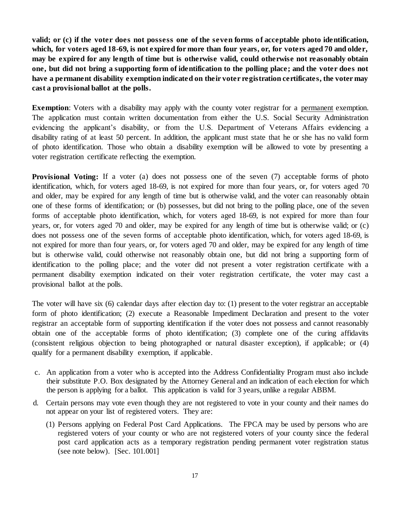**valid; or (c) if the voter does not possess one of the seven forms of acceptable photo identification, which, for voters aged 18-69, is not expired for more than four years, or, for voters aged 70 and older, may be expired for any length of time but is otherwise valid, could otherwise not reasonably obtain one, but did not bring a supporting form of identification to the polling place; and the voter does not have a permanent disability exemption indicated on their voter registration certificates, the voter may cast a provisional ballot at the polls.**

**Exemption**: Voters with a disability may apply with the county voter registrar for a permanent exemption. The application must contain written documentation from either the U.S. Social Security Administration evidencing the applicant's disability, or from the U.S. Department of Veterans Affairs evidencing a disability rating of at least 50 percent. In addition, the applicant must state that he or she has no valid form of photo identification. Those who obtain a disability exemption will be allowed to vote by presenting a voter registration certificate reflecting the exemption.

**Provisional Voting:** If a voter (a) does not possess one of the seven (7) acceptable forms of photo identification, which, for voters aged 18-69, is not expired for more than four years, or, for voters aged 70 and older, may be expired for any length of time but is otherwise valid, and the voter can reasonably obtain one of these forms of identification; or (b) possesses, but did not bring to the polling place, one of the seven forms of acceptable photo identification, which, for voters aged 18-69, is not expired for more than four years, or, for voters aged 70 and older, may be expired for any length of time but is otherwise valid; or (c) does not possess one of the seven forms of acceptable photo identification, which, for voters aged 18-69, is not expired for more than four years, or, for voters aged 70 and older, may be expired for any length of time but is otherwise valid, could otherwise not reasonably obtain one, but did not bring a supporting form of identification to the polling place; and the voter did not present a voter registration certificate with a permanent disability exemption indicated on their voter registration certificate, the voter may cast a provisional ballot at the polls.

The voter will have six (6) calendar days after election day to: (1) present to the voter registrar an acceptable form of photo identification; (2) execute a Reasonable Impediment Declaration and present to the voter registrar an acceptable form of supporting identification if the voter does not possess and cannot reasonably obtain one of the acceptable forms of photo identification; (3) complete one of the curing affidavits (consistent religious objection to being photographed or natural disaster exception), if applicable; or (4) qualify for a permanent disability exemption, if applicable.

- c. An application from a voter who is accepted into the Address Confidentiality Program must also include their substitute P.O. Box designated by the Attorney General and an indication of each election for which the person is applying for a ballot. This application is valid for 3 years, unlike a regular ABBM.
- d. Certain persons may vote even though they are not registered to vote in your county and their names do not appear on your list of registered voters. They are:
	- (1) Persons applying on Federal Post Card Applications. The FPCA may be used by persons who are registered voters of your county or who are not registered voters of your county since the federal post card application acts as a temporary registration pending permanent voter registration status (see note below). [Sec. 101.001]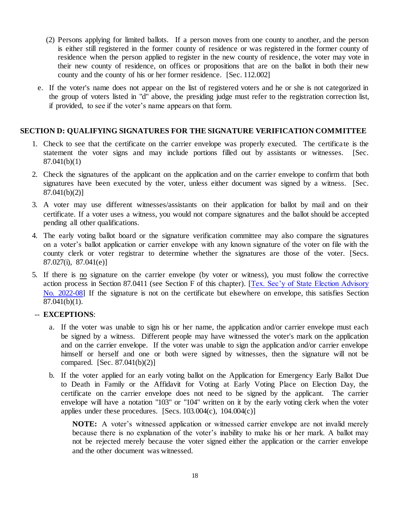- (2) Persons applying for limited ballots. If a person moves from one county to another, and the person is either still registered in the former county of residence or was registered in the former county of residence when the person applied to register in the new county of residence, the voter may vote in their new county of residence, on offices or propositions that are on the ballot in both their new county and the county of his or her former residence. [Sec. 112.002]
- e. If the voter's name does not appear on the list of registered voters and he or she is not categorized in the group of voters listed in "d" above, the presiding judge must refer to the registration correction list, if provided, to see if the voter's name appears on that form.

### **SECTION D: QUALIFYING SIGNATURES FOR THE SIGNATURE VERIFICATION COMMITTEE**

- 1. Check to see that the certificate on the carrier envelope was properly executed. The certificate is the statement the voter signs and may include portions filled out by assistants or witnesses. [Sec. 87.041(b)(1)
- 2. Check the signatures of the applicant on the application and on the carrier envelope to confirm that both signatures have been executed by the voter, unless either document was signed by a witness. [Sec. 87.041(b)(2)]
- 3. A voter may use different witnesses/assistants on their application for ballot by mail and on their certificate. If a voter uses a witness, you would not compare signatures and the ballot should be accepted pending all other qualifications.
- 4. The early voting ballot board or the signature verification committee may also compare the signatures on a voter's ballot application or carrier envelope with any known signature of the voter on file with the county clerk or voter registrar to determine whether the signatures are those of the voter. [Secs. 87.027(i), 87.041(e)]
- 5. If there is no signature on the carrier envelope (by voter or witness), you must follow the corrective action process in Section 87.0411 (see Section F of this chapter). [\[Tex. Sec'y of State Election Advisory](https://www.sos.texas.gov/elections/laws/advisory2022-08.shtml)  [No. 2022-08\]](https://www.sos.texas.gov/elections/laws/advisory2022-08.shtml) If the signature is not on the certificate but elsewhere on envelope, this satisfies Section 87.041(b)(1).

# -- **EXCEPTIONS**:

- a. If the voter was unable to sign his or her name, the application and/or carrier envelope must each be signed by a witness. Different people may have witnessed the voter's mark on the application and on the carrier envelope. If the voter was unable to sign the application and/or carrier envelope himself or herself and one or both were signed by witnesses, then the signature will not be compared. [Sec. 87.041(b)(2)]
- b. If the voter applied for an early voting ballot on the Application for Emergency Early Ballot Due to Death in Family or the Affidavit for Voting at Early Voting Place on Election Day, the certificate on the carrier envelope does not need to be signed by the applicant. The carrier envelope will have a notation "103" or "104" written on it by the early voting clerk when the voter applies under these procedures. [Secs.  $103.004(c)$ ,  $104.004(c)$ ]

**NOTE:** A voter's witnessed application or witnessed carrier envelope are not invalid merely because there is no explanation of the voter's inability to make his or her mark. A ballot may not be rejected merely because the voter signed either the application or the carrier envelope and the other document was witnessed.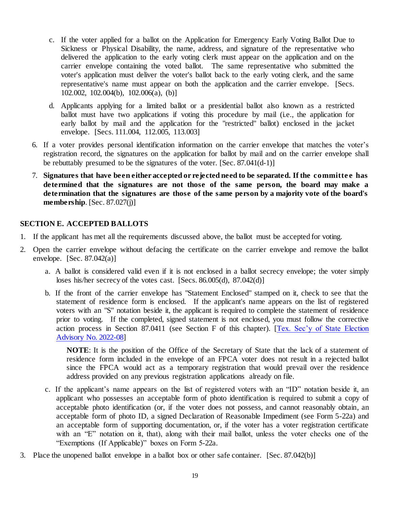- c. If the voter applied for a ballot on the Application for Emergency Early Voting Ballot Due to Sickness or Physical Disability, the name, address, and signature of the representative who delivered the application to the early voting clerk must appear on the application and on the carrier envelope containing the voted ballot. The same representative who submitted the voter's application must deliver the voter's ballot back to the early voting clerk, and the same representative's name must appear on both the application and the carrier envelope. [Secs. 102.002, 102.004(b), 102.006(a), (b)]
- d. Applicants applying for a limited ballot or a presidential ballot also known as a restricted ballot must have two applications if voting this procedure by mail (i.e., the application for early ballot by mail and the application for the "restricted" ballot) enclosed in the jacket envelope. [Secs. 111.004, 112.005, 113.003]
- 6. If a voter provides personal identification information on the carrier envelope that matches the voter's registration record, the signatures on the application for ballot by mail and on the carrier envelope shall be rebuttably presumed to be the signatures of the voter. [Sec. 87.041(d-1)]
- 7. **Signatures that have been either accepted or rejected need to be separated. If the committe e has determined that the signatures are not those of the same person, the board may make a determination that the signatures are those of the same person by a majority vote of the board's membership**. [Sec. 87.027(j)]

# <span id="page-22-0"></span>**SECTION E. ACCEPTED BALLOTS**

- 1. If the applicant has met all the requirements discussed above, the ballot must be accepted for voting.
- 2. Open the carrier envelope without defacing the certificate on the carrier envelope and remove the ballot envelope.  $[Sec. 87.042(a)]$ 
	- a. A ballot is considered valid even if it is not enclosed in a ballot secrecy envelope; the voter simply loses his/her secrecy of the votes cast. [Secs. 86.005(d), 87.042(d)]
	- b. If the front of the carrier envelope has "Statement Enclosed" stamped on it, check to see that the statement of residence form is enclosed. If the applicant's name appears on the list of registered voters with an "S" notation beside it, the applicant is required to complete the statement of residence prior to voting. If the completed, signed statement is not enclosed, you must follow the corrective action process in Section 87.0411 (see Section F of this chapter). [\[Tex. Sec'y of State Election](https://www.sos.texas.gov/elections/laws/advisory2022-08.shtml)  [Advisory No. 2022-08\]](https://www.sos.texas.gov/elections/laws/advisory2022-08.shtml)

**NOTE**: It is the position of the Office of the Secretary of State that the lack of a statement of residence form included in the envelope of an FPCA voter does not result in a rejected ballot since the FPCA would act as a temporary registration that would prevail over the residence address provided on any previous registration applications already on file.

- c. If the applicant's name appears on the list of registered voters with an "ID" notation beside it, an applicant who possesses an acceptable form of photo identification is required to submit a copy of acceptable photo identification (or, if the voter does not possess, and cannot reasonably obtain, an acceptable form of photo ID, a signed Declaration of Reasonable Impediment (see Form 5-22a) and an acceptable form of supporting documentation, or, if the voter has a voter registration certificate with an "E" notation on it, that), along with their mail ballot, unless the voter checks one of the "Exemptions (If Applicable)" boxes on Form 5-22a.
- 3. Place the unopened ballot envelope in a ballot box or other safe container. [Sec. 87.042(b)]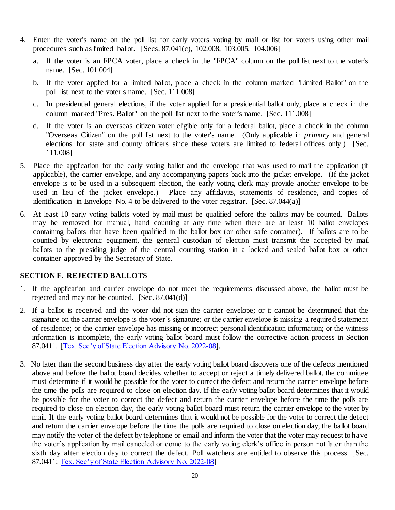- 4. Enter the voter's name on the poll list for early voters voting by mail or list for voters using other mail procedures such as limited ballot. [Secs. 87.041(c), 102.008, 103.005, 104.006]
	- a. If the voter is an FPCA voter, place a check in the "FPCA" column on the poll list next to the voter's name. [Sec. 101.004]
	- b. If the voter applied for a limited ballot, place a check in the column marked "Limited Ballot" on the poll list next to the voter's name. [Sec. 111.008]
	- c. In presidential general elections, if the voter applied for a presidential ballot only, place a check in the column marked "Pres. Ballot" on the poll list next to the voter's name. [Sec. 111.008]
	- d. If the voter is an overseas citizen voter eligible only for a federal ballot, place a check in the column "Overseas Citizen" on the poll list next to the voter's name. (Only applicable in *primary* and general elections for state and county officers since these voters are limited to federal offices only.) [Sec. 111.008]
- 5. Place the application for the early voting ballot and the envelope that was used to mail the application (if applicable), the carrier envelope, and any accompanying papers back into the jacket envelope. (If the jacket envelope is to be used in a subsequent election, the early voting clerk may provide another envelope to be used in lieu of the jacket envelope.) Place any affidavits, statements of residence, and copies of identification in Envelope No. 4 to be delivered to the voter registrar. [Sec. 87.044(a)]
- 6. At least 10 early voting ballots voted by mail must be qualified before the ballots may be counted. Ballots may be removed for manual, hand counting at any time when there are at least 10 ballot envelopes containing ballots that have been qualified in the ballot box (or other safe container). If ballots are to be counted by electronic equipment, the general custodian of election must transmit the accepted by mail ballots to the presiding judge of the central counting station in a locked and sealed ballot box or other container approved by the Secretary of State.

### <span id="page-23-0"></span>**SECTION F. REJECTED BALLOTS**

- 1. If the application and carrier envelope do not meet the requirements discussed above, the ballot must be rejected and may not be counted. [Sec. 87.041(d)]
- 2. If a ballot is received and the voter did not sign the carrier envelope; or it cannot be determined that the signature on the carrier envelope is the voter's signature; or the carrier envelope is missing a required statement of residence; or the carrier envelope has missing or incorrect personal identification information; or the witness information is incomplete, the early voting ballot board must follow the corrective action process in Section 87.0411. [\[Tex. Sec'y of State Election Advisory No. 2022-08\]](https://www.sos.texas.gov/elections/laws/advisory2022-08.shtml).
- 3. No later than the second business day after the early voting ballot board discovers one of the defects mentioned above and before the ballot board decides whether to accept or reject a timely delivered ballot, the committee must determine if it would be possible for the voter to correct the defect and return the carrier envelope before the time the polls are required to close on election day. If the early voting ballot board determines that it would be possible for the voter to correct the defect and return the carrier envelope before the time the polls are required to close on election day, the early voting ballot board must return the carrier envelope to the voter by mail. If the early voting ballot board determines that it would not be possible for the voter to correct the defect and return the carrier envelope before the time the polls are required to close on election day, the ballot board may notify the voter of the defect by telephone or email and inform the voter that the voter may request to have the voter's application by mail canceled or come to the early voting clerk's office in person not later than the sixth day after election day to correct the defect. Poll watchers are entitled to observe this process. [Sec. 87.0411; [Tex. Sec'y of State Election Advisory No. 2022-08\]](https://www.sos.texas.gov/elections/laws/advisory2022-08.shtml)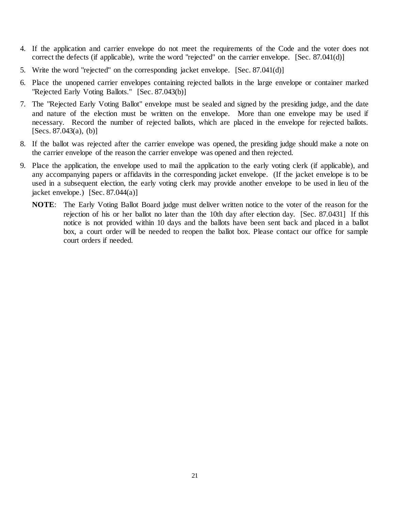- 4. If the application and carrier envelope do not meet the requirements of the Code and the voter does not correct the defects (if applicable), write the word "rejected" on the carrier envelope. [Sec. 87.041(d)]
- 5. Write the word "rejected" on the corresponding jacket envelope. [Sec. 87.041(d)]
- 6. Place the unopened carrier envelopes containing rejected ballots in the large envelope or container marked "Rejected Early Voting Ballots." [Sec. 87.043(b)]
- 7. The "Rejected Early Voting Ballot" envelope must be sealed and signed by the presiding judge, and the date and nature of the election must be written on the envelope. More than one envelope may be used if necessary. Record the number of rejected ballots, which are placed in the envelope for rejected ballots.  $[Secs. 87.043(a), (b)]$
- 8. If the ballot was rejected after the carrier envelope was opened, the presiding judge should make a note on the carrier envelope of the reason the carrier envelope was opened and then rejected.
- 9. Place the application, the envelope used to mail the application to the early voting clerk (if applicable), and any accompanying papers or affidavits in the corresponding jacket envelope. (If the jacket envelope is to be used in a subsequent election, the early voting clerk may provide another envelope to be used in lieu of the jacket envelope.) [Sec. 87.044(a)]
	- **NOTE**: The Early Voting Ballot Board judge must deliver written notice to the voter of the reason for the rejection of his or her ballot no later than the 10th day after election day. [Sec. 87.0431] If this notice is not provided within 10 days and the ballots have been sent back and placed in a ballot box, a court order will be needed to reopen the ballot box. Please contact our office for sample court orders if needed.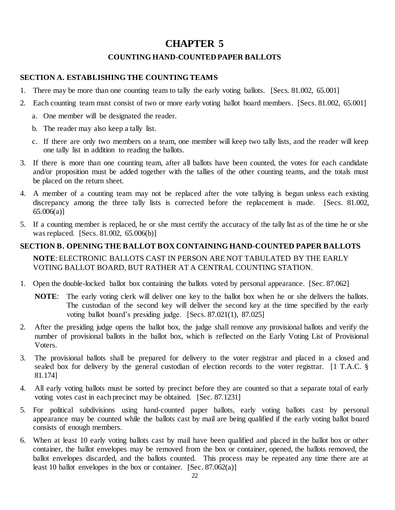# **CHAPTER 5**

# **COUNTING HAND-COUNTED PAPER BALLOTS**

### <span id="page-25-2"></span><span id="page-25-1"></span><span id="page-25-0"></span>**SECTION A. ESTABLISHING THE COUNTING TEAMS**

- 1. There may be more than one counting team to tally the early voting ballots. [Secs. 81.002, 65.001]
- 2. Each counting team must consist of two or more early voting ballot board members. [Secs. 81.002, 65.001]
	- a. One member will be designated the reader.
	- b. The reader may also keep a tally list.
	- c. If there are only two members on a team, one member will keep two tally lists, and the reader will keep one tally list in addition to reading the ballots.
- 3. If there is more than one counting team, after all ballots have been counted, the votes for each candidate and/or proposition must be added together with the tallies of the other counting teams, and the totals must be placed on the return sheet.
- 4. A member of a counting team may not be replaced after the vote tallying is begun unless each existing discrepancy among the three tally lists is corrected before the replacement is made. [Secs. 81.002, 65.006(a)]
- 5. If a counting member is replaced, he or she must certify the accuracy of the tally list as of the time he or she was replaced. [Secs. 81.002, 65.006(b)]

# <span id="page-25-3"></span>**SECTION B. OPENING THE BALLOT BOX CONTAINING HAND-COUNTED PAPER BALLOTS**

**NOTE**: ELECTRONIC BALLOTS CAST IN PERSON ARE NOT TABULATED BY THE EARLY VOTING BALLOT BOARD, BUT RATHER AT A CENTRAL COUNTING STATION.

- 1. Open the double-locked ballot box containing the ballots voted by personal appearance. [Sec. 87.062]
	- **NOTE**: The early voting clerk will deliver one key to the ballot box when he or she delivers the ballots. The custodian of the second key will deliver the second key at the time specified by the early voting ballot board's presiding judge. [Secs. 87.021(1), 87.025]
- 2. After the presiding judge opens the ballot box, the judge shall remove any provisional ballots and verify the number of provisional ballots in the ballot box, which is reflected on the Early Voting List of Provisional Voters.
- 3. The provisional ballots shall be prepared for delivery to the voter registrar and placed in a closed and sealed box for delivery by the general custodian of election records to the voter registrar. [1 T.A.C. § 81.174]
- 4. All early voting ballots must be sorted by precinct before they are counted so that a separate total of early voting votes cast in each precinct may be obtained. [Sec. 87.1231]
- 5. For political subdivisions using hand-counted paper ballots, early voting ballots cast by personal appearance may be counted while the ballots cast by mail are being qualified if the early voting ballot board consists of enough members.
- 6. When at least 10 early voting ballots cast by mail have been qualified and placed in the ballot box or other container, the ballot envelopes may be removed from the box or container, opened, the ballots removed, the ballot envelopes discarded, and the ballots counted. This process may be repeated any time there are at least 10 ballot envelopes in the box or container. [Sec. 87.062(a)]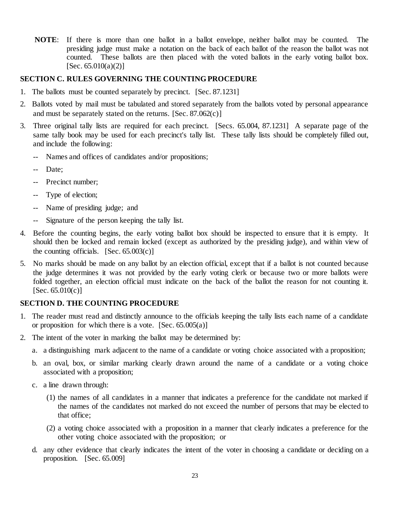**NOTE**: If there is more than one ballot in a ballot envelope, neither ballot may be counted. The presiding judge must make a notation on the back of each ballot of the reason the ballot was not counted. These ballots are then placed with the voted ballots in the early voting ballot box.  $[Sec. 65.010(a)(2)]$ 

### <span id="page-26-0"></span>**SECTION C. RULES GOVERNING THE COUNTING PROCEDURE**

- 1. The ballots must be counted separately by precinct. [Sec. 87.1231]
- 2. Ballots voted by mail must be tabulated and stored separately from the ballots voted by personal appearance and must be separately stated on the returns. [Sec. 87.062(c)]
- 3. Three original tally lists are required for each precinct. [Secs. 65.004, 87.1231] A separate page of the same tally book may be used for each precinct's tally list. These tally lists should be completely filled out, and include the following:
	- -- Names and offices of candidates and/or propositions;
	- Date;
	- -- Precinct number;
	- -- Type of election;
	- -- Name of presiding judge; and
	- -- Signature of the person keeping the tally list.
- 4. Before the counting begins, the early voting ballot box should be inspected to ensure that it is empty. It should then be locked and remain locked (except as authorized by the presiding judge), and within view of the counting officials.  $[Sec. 65.003(c)]$
- 5. No marks should be made on any ballot by an election official, except that if a ballot is not counted because the judge determines it was not provided by the early voting clerk or because two or more ballots were folded together, an election official must indicate on the back of the ballot the reason for not counting it.  $[Sec. 65.010(c)]$

### <span id="page-26-1"></span>**SECTION D. THE COUNTING PROCEDURE**

- 1. The reader must read and distinctly announce to the officials keeping the tally lists each name of a candidate or proposition for which there is a vote. [Sec. 65.005(a)]
- 2. The intent of the voter in marking the ballot may be determined by:
	- a. a distinguishing mark adjacent to the name of a candidate or voting choice associated with a proposition;
	- b. an oval, box, or similar marking clearly drawn around the name of a candidate or a voting choice associated with a proposition;
	- c. a line drawn through:
		- (1) the names of all candidates in a manner that indicates a preference for the candidate not marked if the names of the candidates not marked do not exceed the number of persons that may be elected to that office;
		- (2) a voting choice associated with a proposition in a manner that clearly indicates a preference for the other voting choice associated with the proposition; or
	- d. any other evidence that clearly indicates the intent of the voter in choosing a candidate or deciding on a proposition. [Sec. 65.009]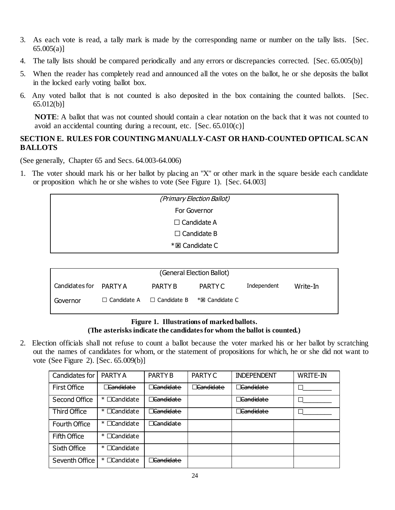- 3. As each vote is read, a tally mark is made by the corresponding name or number on the tally lists. [Sec. 65.005(a)]
- 4. The tally lists should be compared periodically and any errors or discrepancies corrected. [Sec. 65.005(b)]
- 5. When the reader has completely read and announced all the votes on the ballot, he or she deposits the ballot in the locked early voting ballot box.
- 6. Any voted ballot that is not counted is also deposited in the box containing the counted ballots. [Sec. 65.012(b)]

**NOTE**: A ballot that was not counted should contain a clear notation on the back that it was not counted to avoid an accidental counting during a recount, etc.  $[Sec. 65.010(c)]$ 

# <span id="page-27-0"></span>**SECTION E. RULES FOR COUNTING MANUALLY-CAST OR HAND-COUNTED OPTICAL SCAN BALLOTS**

(See generally, Chapter 65 and Secs. 64.003-64.006)

1. The voter should mark his or her ballot by placing an "X" or other mark in the square beside each candidate or proposition which he or she wishes to vote (See Figure 1). [Sec. 64.003]

| (Primary Election Ballot) |  |
|---------------------------|--|
| For Governor              |  |
| • Candidate $A$           |  |
| • Candidate $B$           |  |
| * <b>El</b> Candidate C   |  |

| (General Election Ballot) |               |                       |                |             |          |  |
|---------------------------|---------------|-----------------------|----------------|-------------|----------|--|
| Candidates for PARTY A    |               | PARTY B               | PARTY C        | Independent | Write-In |  |
| Governor                  | • Candidate A | $\bullet$ Candidate B | *⊠ Candidate C |             |          |  |

# **Figure 1. Illustrations of marked ballots. (The asterisks indicate the candidates for whom the ballot is counted.)**

2. Election officials shall not refuse to count a ballot because the voter marked his or her ballot by scratching out the names of candidates for whom, or the statement of propositions for which, he or she did not want to vote (See Figure 2). [Sec. 65.009(b)]

| Candidates for      | PARTY A                                         | PARTY B              | PARTY C              | <b>INDEPENDENT</b>   | <b>WRITE-IN</b> |
|---------------------|-------------------------------------------------|----------------------|----------------------|----------------------|-----------------|
| <b>First Office</b> | Candidate                                       | <b>Candidate</b>     | <del>Candidate</del> | Candidate            |                 |
| Second Office       | Candidate<br>$*$ .                              | <del>Candidate</del> |                      | <del>Candidate</del> |                 |
| <b>Third Office</b> | Candidate<br>$\ast\bullet$                      | <del>Candidate</del> |                      | Candidate            |                 |
| Fourth Office       | Candidate<br>$\ast\bullet$                      | <del>Candidate</del> |                      |                      |                 |
| Fifth Office        | Candidate<br>$\ast\,\textcolor{red}{\bullet}\,$ |                      |                      |                      |                 |
| Sixth Office        | Candidate<br>$\ast$                             |                      |                      |                      |                 |
| Seventh Office      | Candidate<br>$\ast\bullet$                      | <del>Candidate</del> |                      |                      |                 |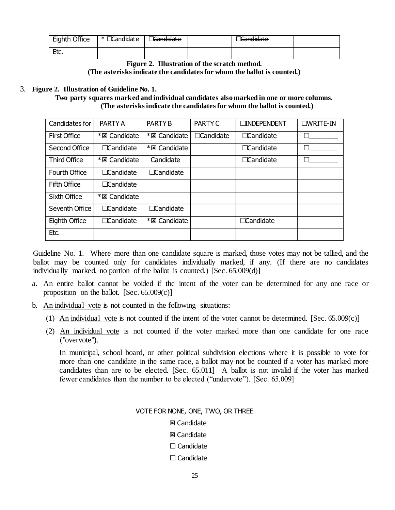| Eighth Office | * • Candidate | Candidate | Candidate |  |
|---------------|---------------|-----------|-----------|--|
| Et o<br>Lu.   |               |           |           |  |

**Figure 2. Illustration of the scratch method. (The asterisks indicate the candidates for whom the ballot is counted.)**

### 3. **Figure 2. Illustration of Guideline No. 1.**

**Two party squares marked and individual candidates also marked in one or more columns. (The asterisks indicate the candidates for whom the ballot is counted.)**

| Candidates for       | PARTY A               | <b>PARTY B</b>        | PARTY C                | • INDEPENDENT          | $\bullet$ WRITE-IN |
|----------------------|-----------------------|-----------------------|------------------------|------------------------|--------------------|
| <b>First Office</b>  | * <b>El</b> Candidate | * <b>El</b> Candidate | Candidate<br>$\bullet$ | • Candidate            |                    |
| Second Office        | • Candidate           | * 図 Candidate         |                        | Candidate<br>$\bullet$ |                    |
| <b>Third Office</b>  | * <b>El</b> Candidate | Candidate             |                        | Candidate<br>$\bullet$ |                    |
| <b>Fourth Office</b> | • Candidate           | • Candidate           |                        |                        |                    |
| Fifth Office         | • Candidate           |                       |                        |                        |                    |
| Sixth Office         | * <b>El</b> Candidate |                       |                        |                        |                    |
| Seventh Office       | • Candidate           | • Candidate           |                        |                        |                    |
| Eighth Office        | • Candidate           | * <b>El</b> Candidate |                        | Candidate              |                    |
| Etc.                 |                       |                       |                        |                        |                    |

Guideline No. 1. Where more than one candidate square is marked, those votes may not be tallied, and the ballot may be counted only for candidates individually marked, if any. (If there are no candidates individually marked, no portion of the ballot is counted.) [Sec. 65.009(d)]

- a. An entire ballot cannot be voided if the intent of the voter can be determined for any one race or proposition on the ballot. [Sec. 65.009(c)]
- b. An individual vote is not counted in the following situations:
	- (1) An individual vote is not counted if the intent of the voter cannot be determined. [Sec. 65.009(c)]
	- (2) An individual vote is not counted if the voter marked more than one candidate for one race ("overvote").

In municipal, school board, or other political subdivision elections where it is possible to vote for more than one candidate in the same race, a ballot may not be counted if a voter has marked more candidates than are to be elected. [Sec. 65.011] A ballot is not invalid if the voter has marked fewer candidates than the number to be elected ("undervote"). [Sec. 65.009]

### VOTE FOR NONE, ONE, TWO, OR THREE

### **図 Candidate**

- **図 Candidate**
- Candidate
- Candidate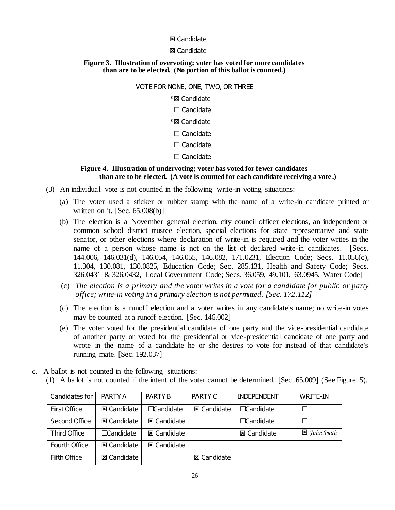### **図 Candidate**

#### **図 Candidate**

#### **Figure 3. Illustration of overvoting; voter has voted for more candidates than are to be elected. (No portion of this ballot is counted.)**

#### VOTE FOR NONE, ONE, TWO, OR THREE

#### \* Z Candidate

- Candidate
- \* Candidate
- Candidate
- Candidate
- Candidate

### **Figure 4. Illustration of undervoting; voter has voted for fewer candidates than are to be elected. (A vote is counted for each candidate receiving a vote .)**

- (3) An individual vote is not counted in the following write-in voting situations:
	- (a) The voter used a sticker or rubber stamp with the name of a write-in candidate printed or written on it. [Sec. 65.008(b)]
	- (b) The election is a November general election, city council officer elections, an independent or common school district trustee election, special elections for state representative and state senator, or other elections where declaration of write-in is required and the voter writes in the name of a person whose name is not on the list of declared write-in candidates.[Secs. 144.006, 146.031(d), 146.054, 146.055, 146.082, 171.0231, Election Code; Secs. 11.056(c), 11.304, 130.081, 130.0825, Education Code; Sec. 285.131, Health and Safety Code; Secs. 326.0431 & 326.0432, Local Government Code; Secs. 36.059, 49.101, 63.0945, Water Code]
	- (c) *The election is a primary and the voter writes in a vote for a candidate for public or party office; write-in voting in a primary election is not permitted. [Sec. 172.112]*
	- (d) The election is a runoff election and a voter writes in any candidate's name; no write-in votes may be counted at a runoff election. [Sec. 146.002]
	- (e) The voter voted for the presidential candidate of one party and the vice-presidential candidate of another party or voted for the presidential or vice-presidential candidate of one party and wrote in the name of a candidate he or she desires to vote for instead of that candidate's running mate. [Sec. 192.037]
- c. A ballot is not counted in the following situations:
	- (1) A ballot is not counted if the intent of the voter cannot be determined. [Sec. 65.009] (See Figure 5).

| Candidates for      | PARTY A            | PARTY B            | PARTY C            | <b>INDEPENDENT</b> | <b>WRITE-IN</b>        |
|---------------------|--------------------|--------------------|--------------------|--------------------|------------------------|
| <b>First Office</b> | <b>図 Candidate</b> | • Candidate        | <b>図 Candidate</b> | • Candidate        |                        |
| Second Office       | <b>図 Candidate</b> | <b>図 Candidate</b> |                    | • Candidate        |                        |
| <b>Third Office</b> | • Candidate        | <b>図 Candidate</b> |                    | <b>図 Candidate</b> | $\boxtimes$ John Smith |
| Fourth Office       | <b>図 Candidate</b> | <b>図 Candidate</b> |                    |                    |                        |
| Fifth Office        | <b>図 Candidate</b> |                    | <b>図 Candidate</b> |                    |                        |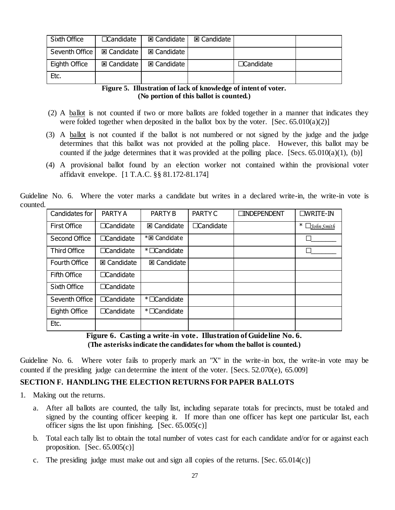| Sixth Office                  | • Candidate          | <b>図 Candidate</b> I | <b>⊠ Candidate</b> |             |  |
|-------------------------------|----------------------|----------------------|--------------------|-------------|--|
| Seventh Office   El Candidate |                      | <b>図 Candidate</b>   |                    |             |  |
| Eighth Office                 | <b>図 Candidate I</b> | 图 Candidate          |                    | • Candidate |  |
| Etc.                          |                      |                      |                    |             |  |

**Figure 5. Illustration of lack of knowledge of intent of voter. (No portion of this ballot is counted.)**

- (2) A ballot is not counted if two or more ballots are folded together in a manner that indicates they were folded together when deposited in the ballot box by the voter. [Sec.  $65.010(a)(2)$ ]
- (3) A ballot is not counted if the ballot is not numbered or not signed by the judge and the judge determines that this ballot was not provided at the polling place. However, this ballot may be counted if the judge determines that it was provided at the polling place. [Secs.  $65.010(a)(1)$ , (b)]
- (4) A provisional ballot found by an election worker not contained within the provisional voter affidavit envelope. [1 T.A.C. §§ 81.172-81.174]

Guideline No. 6. Where the voter marks a candidate but writes in a declared write-in, the write-in vote is counted.

| Candidates for      | PARTY A                | <b>PARTY B</b>     | <b>PARTY C</b> | • INDEPENDENT | $\bullet$ WRITE-IN   |
|---------------------|------------------------|--------------------|----------------|---------------|----------------------|
| <b>First Office</b> | • Candidate            | <b>図 Candidate</b> | • Candidate    |               | $\ast$<br>John Smith |
| Second Office       | • Candidate            | * El Candidate     |                |               |                      |
| <b>Third Office</b> | • Candidate            | *• Candidate       |                |               |                      |
| Fourth Office       | <b>図 Candidate</b>     | <b>図 Candidate</b> |                |               |                      |
| <b>Fifth Office</b> | Candidate<br>$\bullet$ |                    |                |               |                      |
| Sixth Office        | • Candidate            |                    |                |               |                      |
| Seventh Office      | Candidate              | *• Candidate       |                |               |                      |
| Eighth Office       | Candidate<br>$\bullet$ | *• Candidate       |                |               |                      |
| Etc.                |                        |                    |                |               |                      |

**Figure 6. Casting a write-in vote. Illustration of Guideline No. 6. (The asterisks indicate the candidates for whom the ballot is counted.)**

Guideline No. 6. Where voter fails to properly mark an "X" in the write-in box, the write-in vote may be counted if the presiding judge can determine the intent of the voter. [Secs. 52.070(e), 65.009]

# <span id="page-30-0"></span>**SECTION F. HANDLING THE ELECTION RETURNS FOR PAPER BALLOTS**

- 1. Making out the returns.
	- a. After all ballots are counted, the tally list, including separate totals for precincts, must be totaled and signed by the counting officer keeping it. If more than one officer has kept one particular list, each officer signs the list upon finishing.  $[Sec. 65.005(c)]$
	- b. Total each tally list to obtain the total number of votes cast for each candidate and/or for or against each proposition.  $[Sec. 65.005(c)]$
	- c. The presiding judge must make out and sign all copies of the returns. [Sec. 65.014(c)]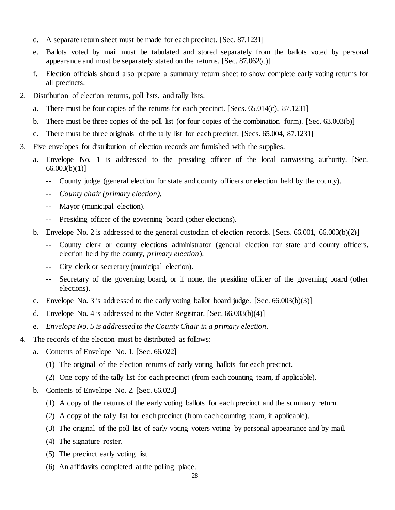- d. A separate return sheet must be made for each precinct. [Sec. 87.1231]
- e. Ballots voted by mail must be tabulated and stored separately from the ballots voted by personal appearance and must be separately stated on the returns. [Sec. 87.062(c)]
- f. Election officials should also prepare a summary return sheet to show complete early voting returns for all precincts.
- 2. Distribution of election returns, poll lists, and tally lists.
	- a. There must be four copies of the returns for each precinct. [Secs. 65.014(c), 87.1231]
	- b. There must be three copies of the poll list (or four copies of the combination form). [Sec. 63.003(b)]
	- c. There must be three originals of the tally list for each precinct. [Secs. 65.004, 87.1231]
- 3. Five envelopes for distribution of election records are furnished with the supplies.
	- a. Envelope No. 1 is addressed to the presiding officer of the local canvassing authority. [Sec. 66.003(b)(1)]
		- -- County judge (general election for state and county officers or election held by the county).
		- *-- County chair (primary election).*
		- -- Mayor (municipal election).
		- -- Presiding officer of the governing board (other elections).
	- b. Envelope No. 2 is addressed to the general custodian of election records. [Secs. 66.001, 66.003(b)(2)]
		- -- County clerk or county elections administrator (general election for state and county officers, election held by the county, *primary election*).
		- City clerk or secretary (municipal election).
		- Secretary of the governing board, or if none, the presiding officer of the governing board (other elections).
	- c. Envelope No. 3 is addressed to the early voting ballot board judge. [Sec. 66.003(b)(3)]
	- d. Envelope No. 4 is addressed to the Voter Registrar. [Sec. 66.003(b)(4)]
	- e. *Envelope No. 5 is addressed to the County Chair in a primary election.*
- 4. The records of the election must be distributed as follows:
	- a. Contents of Envelope No. 1. [Sec. 66.022]
		- (1) The original of the election returns of early voting ballots for each precinct.
		- (2) One copy of the tally list for each precinct (from each counting team, if applicable).
	- b. Contents of Envelope No. 2. [Sec. 66.023]
		- (1) A copy of the returns of the early voting ballots for each precinct and the summary return.
		- (2) A copy of the tally list for each precinct (from each counting team, if applicable).
		- (3) The original of the poll list of early voting voters voting by personal appearance and by mail.
		- (4) The signature roster.
		- (5) The precinct early voting list
		- (6) An affidavits completed at the polling place.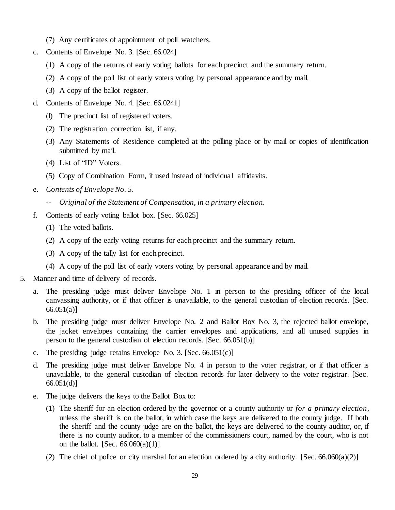- (7) Any certificates of appointment of poll watchers.
- c. Contents of Envelope No. 3. [Sec. 66.024]
	- (1) A copy of the returns of early voting ballots for each precinct and the summary return.
	- (2) A copy of the poll list of early voters voting by personal appearance and by mail.
	- (3) A copy of the ballot register.
- d. Contents of Envelope No. 4. [Sec. 66.0241]
	- (l) The precinct list of registered voters.
	- (2) The registration correction list, if any.
	- (3) Any Statements of Residence completed at the polling place or by mail or copies of identification submitted by mail.
	- (4) List of "ID" Voters.
	- (5) Copy of Combination Form, if used instead of individual affidavits.
- e. *Contents of Envelope No. 5.*
	- *-- Original of the Statement of Compensation, in a primary election.*
- f. Contents of early voting ballot box. [Sec. 66.025]
	- (1) The voted ballots.
	- (2) A copy of the early voting returns for each precinct and the summary return.
	- (3) A copy of the tally list for each precinct.
	- (4) A copy of the poll list of early voters voting by personal appearance and by mail.
- 5. Manner and time of delivery of records.
	- a. The presiding judge must deliver Envelope No. 1 in person to the presiding officer of the local canvassing authority, or if that officer is unavailable, to the general custodian of election records. [Sec. 66.051(a)]
	- b. The presiding judge must deliver Envelope No. 2 and Ballot Box No. 3, the rejected ballot envelope, the jacket envelopes containing the carrier envelopes and applications, and all unused supplies in person to the general custodian of election records. [Sec. 66.051(b)]
	- c. The presiding judge retains Envelope No. 3. [Sec. 66.051(c)]
	- d. The presiding judge must deliver Envelope No. 4 in person to the voter registrar, or if that officer is unavailable, to the general custodian of election records for later delivery to the voter registrar. [Sec. 66.051(d)]
	- e. The judge delivers the keys to the Ballot Box to:
		- (1) The sheriff for an election ordered by the governor or a county authority or *for a primary election*, unless the sheriff is on the ballot, in which case the keys are delivered to the county judge. If both the sheriff and the county judge are on the ballot, the keys are delivered to the county auditor, or, if there is no county auditor, to a member of the commissioners court, named by the court, who is not on the ballot. [Sec.  $66.060(a)(1)$ ]
		- (2) The chief of police or city marshal for an election ordered by a city authority. [Sec.  $66.060(a)(2)$ ]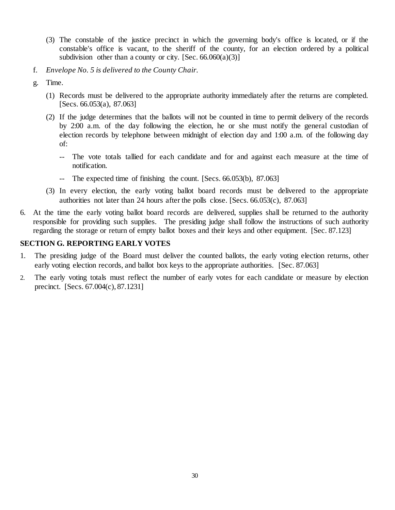- (3) The constable of the justice precinct in which the governing body's office is located, or if the constable's office is vacant, to the sheriff of the county, for an election ordered by a political subdivision other than a county or city. [Sec.  $66.060(a)(3)$ ]
- f. *Envelope No. 5 is delivered to the County Chair.*
- g. Time.
	- (1) Records must be delivered to the appropriate authority immediately after the returns are completed. [Secs. 66.053(a), 87.063]
	- (2) If the judge determines that the ballots will not be counted in time to permit delivery of the records by 2:00 a.m. of the day following the election, he or she must notify the general custodian of election records by telephone between midnight of election day and 1:00 a.m. of the following day of:
		- -- The vote totals tallied for each candidate and for and against each measure at the time of notification.
		- -- The expected time of finishing the count. [Secs. 66.053(b), 87.063]
	- (3) In every election, the early voting ballot board records must be delivered to the appropriate authorities not later than 24 hours after the polls close. [Secs. 66.053(c), 87.063]
- 6. At the time the early voting ballot board records are delivered, supplies shall be returned to the authority responsible for providing such supplies. The presiding judge shall follow the instructions of such authority regarding the storage or return of empty ballot boxes and their keys and other equipment. [Sec. 87.123]

### <span id="page-33-0"></span>**SECTION G. REPORTING EARLY VOTES**

- 1. The presiding judge of the Board must deliver the counted ballots, the early voting election returns, other early voting election records, and ballot box keys to the appropriate authorities. [Sec. 87.063]
- 2. The early voting totals must reflect the number of early votes for each candidate or measure by election precinct. [Secs. 67.004(c), 87.1231]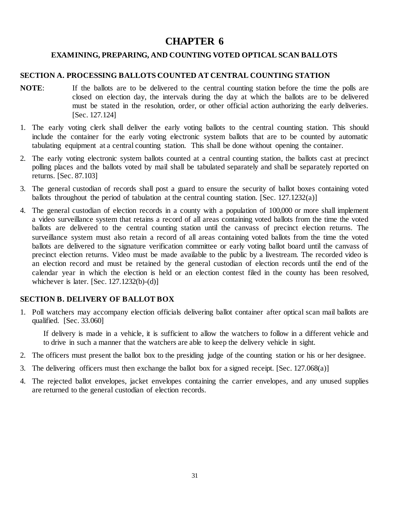# **CHAPTER 6**

# <span id="page-34-0"></span>**EXAMINING, PREPARING, AND COUNTING VOTED OPTICAL SCAN BALLOTS**

### <span id="page-34-2"></span><span id="page-34-1"></span>**SECTION A. PROCESSING BALLOTS COUNTED AT CENTRAL COUNTING STATION**

- **NOTE**: If the ballots are to be delivered to the central counting station before the time the polls are closed on election day, the intervals during the day at which the ballots are to be delivered must be stated in the resolution, order, or other official action authorizing the early deliveries. [Sec. 127.124]
- 1. The early voting clerk shall deliver the early voting ballots to the central counting station. This should include the container for the early voting electronic system ballots that are to be counted by automatic tabulating equipment at a central counting station. This shall be done without opening the container.
- 2. The early voting electronic system ballots counted at a central counting station, the ballots cast at precinct polling places and the ballots voted by mail shall be tabulated separately and shall be separately reported on returns. [Sec. 87.103]
- 3. The general custodian of records shall post a guard to ensure the security of ballot boxes containing voted ballots throughout the period of tabulation at the central counting station. [Sec. 127.1232(a)]
- 4. The general custodian of election records in a county with a population of 100,000 or more shall implement a video surveillance system that retains a record of all areas containing voted ballots from the time the voted ballots are delivered to the central counting station until the canvass of precinct election returns. The surveillance system must also retain a record of all areas containing voted ballots from the time the voted ballots are delivered to the signature verification committee or early voting ballot board until the canvass of precinct election returns. Video must be made available to the public by a livestream. The recorded video is an election record and must be retained by the general custodian of election records until the end of the calendar year in which the election is held or an election contest filed in the county has been resolved, whichever is later.  $[Sec. 127.1232(b)-(d)]$

### <span id="page-34-3"></span>**SECTION B. DELIVERY OF BALLOT BOX**

1. Poll watchers may accompany election officials delivering ballot container after optical scan mail ballots are qualified. [Sec. 33.060]

If delivery is made in a vehicle, it is sufficient to allow the watchers to follow in a different vehicle and to drive in such a manner that the watchers are able to keep the delivery vehicle in sight.

- 2. The officers must present the ballot box to the presiding judge of the counting station or his or her designee.
- 3. The delivering officers must then exchange the ballot box for a signed receipt. [Sec. 127.068(a)]
- 4. The rejected ballot envelopes, jacket envelopes containing the carrier envelopes, and any unused supplies are returned to the general custodian of election records.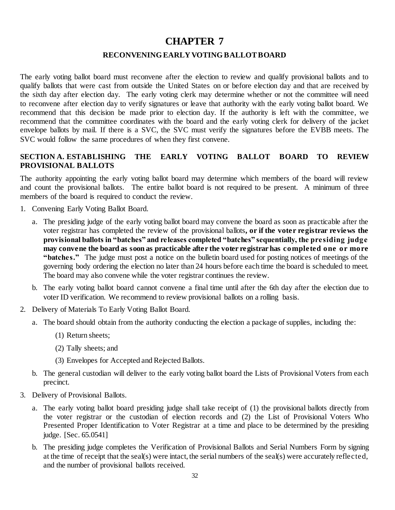# **CHAPTER 7**

### **RECONVENING EARLY VOTING BALLOT BOARD**

<span id="page-35-1"></span><span id="page-35-0"></span>The early voting ballot board must reconvene after the election to review and qualify provisional ballots and to qualify ballots that were cast from outside the United States on or before election day and that are received by the sixth day after election day. The early voting clerk may determine whether or not the committee will need to reconvene after election day to verify signatures or leave that authority with the early voting ballot board. We recommend that this decision be made prior to election day. If the authority is left with the committee, we recommend that the committee coordinates with the board and the early voting clerk for delivery of the jacket envelope ballots by mail. If there is a SVC, the SVC must verify the signatures before the EVBB meets. The SVC would follow the same procedures of when they first convene.

# <span id="page-35-2"></span>**SECTION A. ESTABLISHING THE EARLY VOTING BALLOT BOARD TO REVIEW PROVISIONAL BALLOTS**

The authority appointing the early voting ballot board may determine which members of the board will review and count the provisional ballots. The entire ballot board is not required to be present. A minimum of three members of the board is required to conduct the review.

- 1. Convening Early Voting Ballot Board.
	- a. The presiding judge of the early voting ballot board may convene the board as soon as practicable after the voter registrar has completed the review of the provisional ballots**, or if the voter registrar reviews the provisional ballots in "batches" and releases completed "batches" sequentially, the presiding judge may convene the board as soon as practicable after the voter registrar has completed one or more "batches."** The judge must post a notice on the bulletin board used for posting notices of meetings of the governing body ordering the election no later than 24 hours before each time the board is scheduled to meet. The board may also convene while the voter registrar continues the review.
	- b. The early voting ballot board cannot convene a final time until after the 6th day after the election due to voter ID verification. We recommend to review provisional ballots on a rolling basis.
- 2. Delivery of Materials To Early Voting Ballot Board.
	- a. The board should obtain from the authority conducting the election a package of supplies, including the:
		- (1) Return sheets;
		- (2) Tally sheets; and
		- (3) Envelopes for Accepted and Rejected Ballots.
	- b. The general custodian will deliver to the early voting ballot board the Lists of Provisional Voters from each precinct.
- 3. Delivery of Provisional Ballots.
	- a. The early voting ballot board presiding judge shall take receipt of (1) the provisional ballots directly from the voter registrar or the custodian of election records and (2) the List of Provisional Voters Who Presented Proper Identification to Voter Registrar at a time and place to be determined by the presiding judge. [Sec. 65.0541]
	- b. The presiding judge completes the Verification of Provisional Ballots and Serial Numbers Form by signing at the time of receipt that the seal(s) were intact, the serial numbers of the seal(s) were accurately reflected, and the number of provisional ballots received.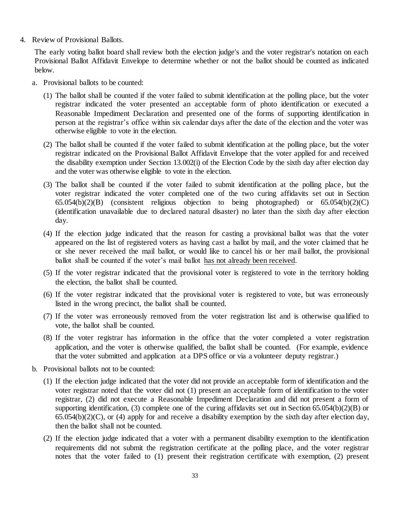4. Review of Provisional Ballots.

The early voting ballot board shall review both the election judge's and the voter registrar's notation on each Provisional Ballot Affidavit Envelope to determine whether or not the ballot should be counted as indicated below.

- a. Provisional ballots to be counted:
	- (1) The ballot shall be counted if the voter failed to submit identification at the polling place, but the voter registrar indicated the voter presented an acceptable form of photo identification or executed a Reasonable Impediment Declaration and presented one of the forms of supporting identification in person at the registrar's office within six calendar days after the date of the election and the voter was otherwise eligible to vote in the election.
	- (2) The ballot shall be counted if the voter failed to submit identification at the polling place, but the voter registrar indicated on the Provisional Ballot Affidavit Envelope that the voter applied for and received the disability exemption under Section 13.002(i) of the Election Code by the sixth day after election day and the voter was otherwise eligible to vote in the election.
	- (3) The ballot shall be counted if the voter failed to submit identification at the polling place, but the voter registrar indicated the voter completed one of the two curing affidavits set out in Section 65.054(b)(2)(B) (consistent religious objection to being photographed) or 65.054(b)(2)(C) (identification unavailable due to declared natural disaster) no later than the sixth day after election day.
	- (4) If the election judge indicated that the reason for casting a provisional ballot was that the voter appeared on the list of registered voters as having cast a ballot by mail, and the voter claimed that he or she never received the mail ballot, or would like to cancel his or her mail ballot, the provisional ballot shall be counted if the voter's mail ballot has not already been received.
	- (5) If the voter registrar indicated that the provisional voter is registered to vote in the territory holding the election, the ballot shall be counted.
	- (6) If the voter registrar indicated that the provisional voter is registered to vote, but was erroneously listed in the wrong precinct, the ballot shall be counted.
	- (7) If the voter was erroneously removed from the voter registration list and is otherwise qualified to vote, the ballot shall be counted.
	- (8) If the voter registrar has information in the office that the voter completed a voter registration application, and the voter is otherwise qualified, the ballot shall be counted. (For example, evidence that the voter submitted and application at a DPS office or via a volunteer deputy registrar.)
- b. Provisional ballots not to be counted:
	- (1) If the election judge indicated that the voter did not provide an acceptable form of identification and the voter registrar noted that the voter did not (1) present an acceptable form of identification to the voter registrar, (2) did not execute a Reasonable Impediment Declaration and did not present a form of supporting identification, (3) complete one of the curing affidavits set out in Section 65.054(b)(2)(B) or  $65.054(b)(2)(C)$ , or (4) apply for and receive a disability exemption by the sixth day after election day, then the ballot shall not be counted.
	- (2) If the election judge indicated that a voter with a permanent disability exemption to the identification requirements did not submit the registration certificate at the polling place, and the voter registrar notes that the voter failed to (1) present their registration certificate with exemption, (2) present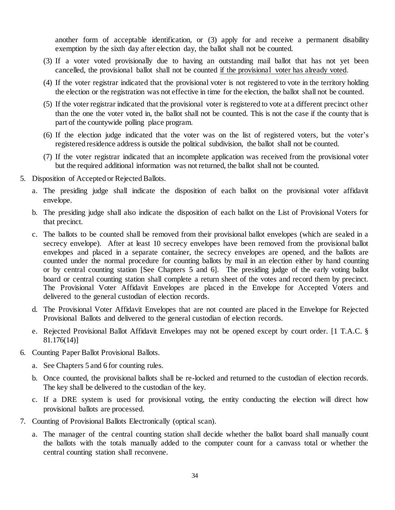another form of acceptable identification, or (3) apply for and receive a permanent disability exemption by the sixth day after election day, the ballot shall not be counted.

- (3) If a voter voted provisionally due to having an outstanding mail ballot that has not yet been cancelled, the provisional ballot shall not be counted if the provisional voter has already voted.
- (4) If the voter registrar indicated that the provisional voter is not registered to vote in the territory holding the election or the registration was not effective in time for the election, the ballot shall not be counted.
- (5) If the voter registrar indicated that the provisional voter is registered to vote at a different precinct other than the one the voter voted in, the ballot shall not be counted. This is not the case if the county that is part of the countywide polling place program.
- (6) If the election judge indicated that the voter was on the list of registered voters, but the voter's registered residence address is outside the political subdivision, the ballot shall not be counted.
- (7) If the voter registrar indicated that an incomplete application was received from the provisional voter but the required additional information was not returned, the ballot shall not be counted.
- 5. Disposition of Accepted or Rejected Ballots.
	- a. The presiding judge shall indicate the disposition of each ballot on the provisional voter affidavit envelope.
	- b. The presiding judge shall also indicate the disposition of each ballot on the List of Provisional Voters for that precinct.
	- c. The ballots to be counted shall be removed from their provisional ballot envelopes (which are sealed in a secrecy envelope). After at least 10 secrecy envelopes have been removed from the provisional ballot envelopes and placed in a separate container, the secrecy envelopes are opened, and the ballots are counted under the normal procedure for counting ballots by mail in an election either by hand counting or by central counting station [See Chapters 5 and 6]. The presiding judge of the early voting ballot board or central counting station shall complete a return sheet of the votes and record them by precinct. The Provisional Voter Affidavit Envelopes are placed in the Envelope for Accepted Voters and delivered to the general custodian of election records.
	- d. The Provisional Voter Affidavit Envelopes that are not counted are placed in the Envelope for Rejected Provisional Ballots and delivered to the general custodian of election records.
	- e. Rejected Provisional Ballot Affidavit Envelopes may not be opened except by court order. [1 T.A.C. § 81.176(14)]
- 6. Counting Paper Ballot Provisional Ballots.
	- a. See Chapters 5 and 6 for counting rules.
	- b. Once counted, the provisional ballots shall be re-locked and returned to the custodian of election records. The key shall be delivered to the custodian of the key.
	- c. If a DRE system is used for provisional voting, the entity conducting the election will direct how provisional ballots are processed.
- 7. Counting of Provisional Ballots Electronically (optical scan).
	- a. The manager of the central counting station shall decide whether the ballot board shall manually count the ballots with the totals manually added to the computer count for a canvass total or whether the central counting station shall reconvene.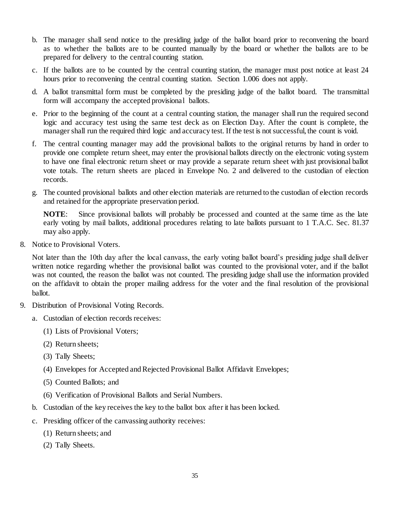- b. The manager shall send notice to the presiding judge of the ballot board prior to reconvening the board as to whether the ballots are to be counted manually by the board or whether the ballots are to be prepared for delivery to the central counting station.
- c. If the ballots are to be counted by the central counting station, the manager must post notice at least 24 hours prior to reconvening the central counting station. Section 1.006 does not apply.
- d. A ballot transmittal form must be completed by the presiding judge of the ballot board. The transmittal form will accompany the accepted provisional ballots.
- e. Prior to the beginning of the count at a central counting station, the manager shall run the required second logic and accuracy test using the same test deck as on Election Day. After the count is complete, the manager shall run the required third logic and accuracy test. If the test is not successful, the count is void.
- f. The central counting manager may add the provisional ballots to the original returns by hand in order to provide one complete return sheet, may enter the provisional ballots directly on the electronic voting system to have one final electronic return sheet or may provide a separate return sheet with just provisional ballot vote totals. The return sheets are placed in Envelope No. 2 and delivered to the custodian of election records.
- g. The counted provisional ballots and other election materials are returned to the custodian of election records and retained for the appropriate preservation period.

**NOTE**: Since provisional ballots will probably be processed and counted at the same time as the late early voting by mail ballots, additional procedures relating to late ballots pursuant to 1 T.A.C. Sec. 81.37 may also apply.

8. Notice to Provisional Voters.

Not later than the 10th day after the local canvass, the early voting ballot board's presiding judge shall deliver written notice regarding whether the provisional ballot was counted to the provisional voter, and if the ballot was not counted, the reason the ballot was not counted. The presiding judge shall use the information provided on the affidavit to obtain the proper mailing address for the voter and the final resolution of the provisional ballot.

- 9. Distribution of Provisional Voting Records.
	- a. Custodian of election records receives:
		- (1) Lists of Provisional Voters;
		- (2) Return sheets;
		- (3) Tally Sheets;
		- (4) Envelopes for Accepted and Rejected Provisional Ballot Affidavit Envelopes;
		- (5) Counted Ballots; and
		- (6) Verification of Provisional Ballots and Serial Numbers.
	- b. Custodian of the key receives the key to the ballot box after it has been locked.
	- c. Presiding officer of the canvassing authority receives:
		- (1) Return sheets; and
		- (2) Tally Sheets.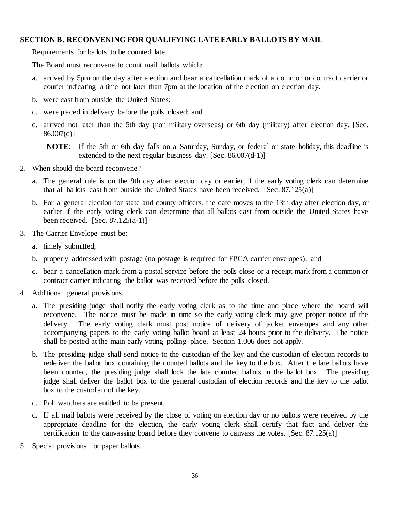# <span id="page-39-0"></span>**SECTION B. RECONVENING FOR QUALIFYING LATE EARLY BALLOTS BY MAIL**

1. Requirements for ballots to be counted late.

The Board must reconvene to count mail ballots which:

- a. arrived by 5pm on the day after election and bear a cancellation mark of a common or contract carrier or courier indicating a time not later than 7pm at the location of the election on election day.
- b. were cast from outside the United States;
- c. were placed in delivery before the polls closed; and
- d. arrived not later than the 5th day (non military overseas) or 6th day (military) after election day. [Sec.  $86.007(d)$ ]

**NOTE**: If the 5th or 6th day falls on a Saturday, Sunday, or federal or state holiday, this deadline is extended to the next regular business day. [Sec. 86.007(d-1)]

- 2. When should the board reconvene?
	- a. The general rule is on the 9th day after election day or earlier, if the early voting clerk can determine that all ballots cast from outside the United States have been received.  $[Sec. 87.125(a)]$
	- b. For a general election for state and county officers, the date moves to the 13th day after election day, or earlier if the early voting clerk can determine that all ballots cast from outside the United States have been received.  $[Sec. 87.125(a-1)]$
- 3. The Carrier Envelope must be:
	- a. timely submitted;
	- b. properly addressed with postage (no postage is required for FPCA carrier envelopes); and
	- c. bear a cancellation mark from a postal service before the polls close or a receipt mark from a common or contract carrier indicating the ballot was received before the polls closed.
- 4. Additional general provisions.
	- a. The presiding judge shall notify the early voting clerk as to the time and place where the board will reconvene. The notice must be made in time so the early voting clerk may give proper notice of the delivery. The early voting clerk must post notice of delivery of jacket envelopes and any other accompanying papers to the early voting ballot board at least 24 hours prior to the delivery. The notice shall be posted at the main early voting polling place. Section 1.006 does not apply.
	- b. The presiding judge shall send notice to the custodian of the key and the custodian of election records to redeliver the ballot box containing the counted ballots and the key to the box. After the late ballots have been counted, the presiding judge shall lock the late counted ballots in the ballot box. The presiding judge shall deliver the ballot box to the general custodian of election records and the key to the ballot box to the custodian of the key.
	- c. Poll watchers are entitled to be present.
	- d. If all mail ballots were received by the close of voting on election day or no ballots were received by the appropriate deadline for the election, the early voting clerk shall certify that fact and deliver the certification to the canvassing board before they convene to canvass the votes. [Sec. 87.125(a)]
- 5. Special provisions for paper ballots.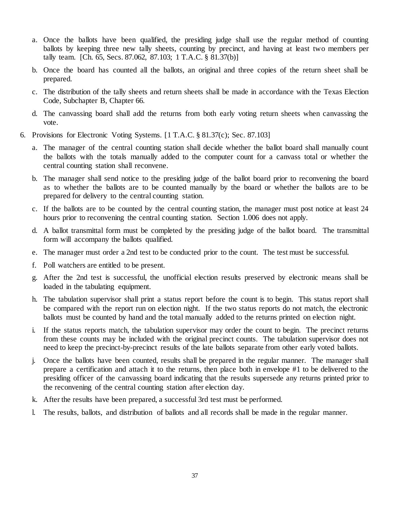- a. Once the ballots have been qualified, the presiding judge shall use the regular method of counting ballots by keeping three new tally sheets, counting by precinct, and having at least two members per tally team. [Ch. 65, Secs. 87.062, 87.103; 1 T.A.C. § 81.37(b)]
- b. Once the board has counted all the ballots, an original and three copies of the return sheet shall be prepared.
- c. The distribution of the tally sheets and return sheets shall be made in accordance with the Texas Election Code, Subchapter B, Chapter 66.
- d. The canvassing board shall add the returns from both early voting return sheets when canvassing the vote.
- 6. Provisions for Electronic Voting Systems. [1 T.A.C. § 81.37(c); Sec. 87.103]
	- a. The manager of the central counting station shall decide whether the ballot board shall manually count the ballots with the totals manually added to the computer count for a canvass total or whether the central counting station shall reconvene.
	- b. The manager shall send notice to the presiding judge of the ballot board prior to reconvening the board as to whether the ballots are to be counted manually by the board or whether the ballots are to be prepared for delivery to the central counting station.
	- c. If the ballots are to be counted by the central counting station, the manager must post notice at least 24 hours prior to reconvening the central counting station. Section 1.006 does not apply.
	- d. A ballot transmittal form must be completed by the presiding judge of the ballot board. The transmittal form will accompany the ballots qualified.
	- e. The manager must order a 2nd test to be conducted prior to the count. The test must be successful.
	- f. Poll watchers are entitled to be present.
	- g. After the 2nd test is successful, the unofficial election results preserved by electronic means shall be loaded in the tabulating equipment.
	- h. The tabulation supervisor shall print a status report before the count is to begin. This status report shall be compared with the report run on election night. If the two status reports do not match, the electronic ballots must be counted by hand and the total manually added to the returns printed on election night.
	- i. If the status reports match, the tabulation supervisor may order the count to begin. The precinct returns from these counts may be included with the original precinct counts. The tabulation supervisor does not need to keep the precinct-by-precinct results of the late ballots separate from other early voted ballots.
	- j. Once the ballots have been counted, results shall be prepared in the regular manner. The manager shall prepare a certification and attach it to the returns, then place both in envelope #1 to be delivered to the presiding officer of the canvassing board indicating that the results supersede any returns printed prior to the reconvening of the central counting station after election day.
	- k. After the results have been prepared, a successful 3rd test must be performed.
	- l. The results, ballots, and distribution of ballots and all records shall be made in the regular manner.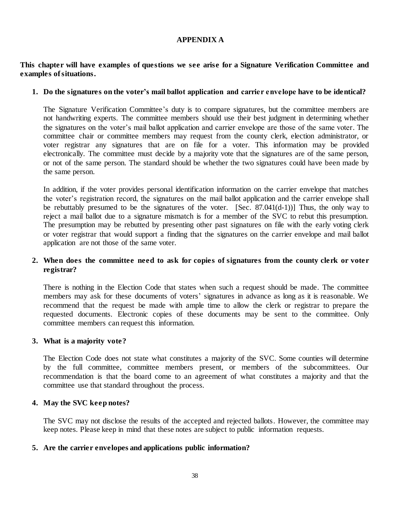### **APPENDIX A**

### **This chapter will have examples of questions we see arise for a Signature Verification Committee and examples of situations.**

### **1. Do the signatures on the voter's mail ballot application and carrier envelope have to be identical?**

The Signature Verification Committee's duty is to compare signatures, but the committee members are not handwriting experts. The committee members should use their best judgment in determining whether the signatures on the voter's mail ballot application and carrier envelope are those of the same voter. The committee chair or committee members may request from the county clerk, election administrator, or voter registrar any signatures that are on file for a voter. This information may be provided electronically. The committee must decide by a majority vote that the signatures are of the same person, or not of the same person. The standard should be whether the two signatures could have been made by the same person.

In addition, if the voter provides personal identification information on the carrier envelope that matches the voter's registration record, the signatures on the mail ballot application and the carrier envelope shall be rebuttably presumed to be the signatures of the voter. [Sec. 87.041(d-1))] Thus, the only way to reject a mail ballot due to a signature mismatch is for a member of the SVC to rebut this presumption. The presumption may be rebutted by presenting other past signatures on file with the early voting clerk or voter registrar that would support a finding that the signatures on the carrier envelope and mail ballot application are not those of the same voter.

# **2. When does the committee need to ask for copies of signatures from the county clerk or voter registrar?**

There is nothing in the Election Code that states when such a request should be made. The committee members may ask for these documents of voters' signatures in advance as long as it is reasonable. We recommend that the request be made with ample time to allow the clerk or registrar to prepare the requested documents. Electronic copies of these documents may be sent to the committee. Only committee members can request this information.

### **3. What is a majority vote?**

The Election Code does not state what constitutes a majority of the SVC. Some counties will determine by the full committee, committee members present, or members of the subcommittees. Our recommendation is that the board come to an agreement of what constitutes a majority and that the committee use that standard throughout the process.

### **4. May the SVC keep notes?**

The SVC may not disclose the results of the accepted and rejected ballots. However, the committee may keep notes. Please keep in mind that these notes are subject to public information requests.

### **5. Are the carrier envelopes and applications public information?**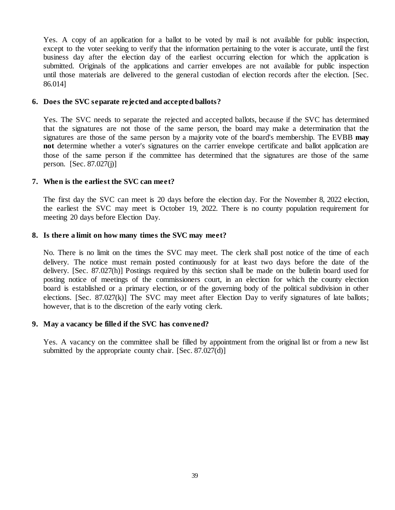Yes. A copy of an application for a ballot to be voted by mail is not available for public inspection, except to the voter seeking to verify that the information pertaining to the voter is accurate, until the first business day after the election day of the earliest occurring election for which the application is submitted. Originals of the applications and carrier envelopes are not available for public inspection until those materials are delivered to the general custodian of election records after the election. [Sec. 86.014]

### **6. Does the SVC separate rejected and accepted ballots?**

Yes. The SVC needs to separate the rejected and accepted ballots, because if the SVC has determined that the signatures are not those of the same person, the board may make a determination that the signatures are those of the same person by a majority vote of the board's membership. The EVBB **may not** determine whether a voter's signatures on the carrier envelope certificate and ballot application are those of the same person if the committee has determined that the signatures are those of the same person.  $[Sec. 87.027(i)]$ 

### **7. When is the earliest the SVC can meet?**

The first day the SVC can meet is 20 days before the election day. For the November 8, 2022 election, the earliest the SVC may meet is October 19, 2022. There is no county population requirement for meeting 20 days before Election Day.

### **8. Is there a limit on how many times the SVC may meet?**

No. There is no limit on the times the SVC may meet. The clerk shall post notice of the time of each delivery. The notice must remain posted continuously for at least two days before the date of the delivery. [Sec. 87.027(h)] Postings required by this section shall be made on the bulletin board used for posting notice of meetings of the commissioners court, in an election for which the county election board is established or a primary election, or of the governing body of the political subdivision in other elections. [Sec. 87.027(k)] The SVC may meet after Election Day to verify signatures of late ballots; however, that is to the discretion of the early voting clerk.

### **9. May a vacancy be filled if the SVC has convened?**

Yes. A vacancy on the committee shall be filled by appointment from the original list or from a new list submitted by the appropriate county chair. [Sec. 87.027(d)]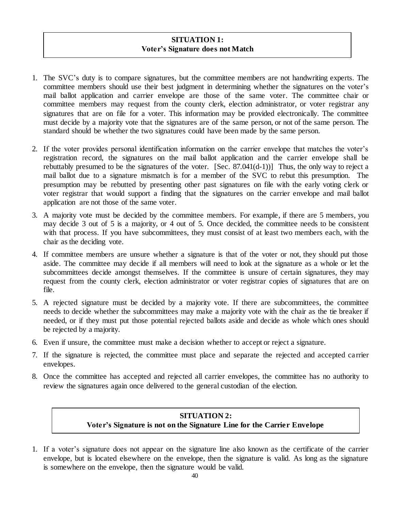# **SITUATION 1: Voter's Signature does not Match**

- 1. The SVC's duty is to compare signatures, but the committee members are not handwriting experts. The committee members should use their best judgment in determining whether the signatures on the voter's mail ballot application and carrier envelope are those of the same voter. The committee chair or committee members may request from the county clerk, election administrator, or voter registrar any signatures that are on file for a voter. This information may be provided electronically. The committee must decide by a majority vote that the signatures are of the same person, or not of the same person. The standard should be whether the two signatures could have been made by the same person.
- 2. If the voter provides personal identification information on the carrier envelope that matches the voter's registration record, the signatures on the mail ballot application and the carrier envelope shall be rebuttably presumed to be the signatures of the voter. [Sec. 87.041(d-1))] Thus, the only way to reject a mail ballot due to a signature mismatch is for a member of the SVC to rebut this presumption. The presumption may be rebutted by presenting other past signatures on file with the early voting clerk or voter registrar that would support a finding that the signatures on the carrier envelope and mail ballot application are not those of the same voter.
- 3. A majority vote must be decided by the committee members. For example, if there are 5 members, you may decide 3 out of 5 is a majority, or 4 out of 5. Once decided, the committee needs to be consistent with that process. If you have subcommittees, they must consist of at least two members each, with the chair as the deciding vote.
- 4. If committee members are unsure whether a signature is that of the voter or not, they should put those aside. The committee may decide if all members will need to look at the signature as a whole or let the subcommittees decide amongst themselves. If the committee is unsure of certain signatures, they may request from the county clerk, election administrator or voter registrar copies of signatures that are on file.
- 5. A rejected signature must be decided by a majority vote. If there are subcommittees, the committee needs to decide whether the subcommittees may make a majority vote with the chair as the tie breaker if needed, or if they must put those potential rejected ballots aside and decide as whole which ones should be rejected by a majority.
- 6. Even if unsure, the committee must make a decision whether to accept or reject a signature.
- 7. If the signature is rejected, the committee must place and separate the rejected and accepted carrier envelopes.
- 8. Once the committee has accepted and rejected all carrier envelopes, the committee has no authority to review the signatures again once delivered to the general custodian of the election.

# **SITUATION 2: Voter's Signature is not on the Signature Line for the Carrier Envelope**

1. If a voter's signature does not appear on the signature line also known as the certificate of the carrier envelope, but is located elsewhere on the envelope, then the signature is valid. As long as the signature is somewhere on the envelope, then the signature would be valid.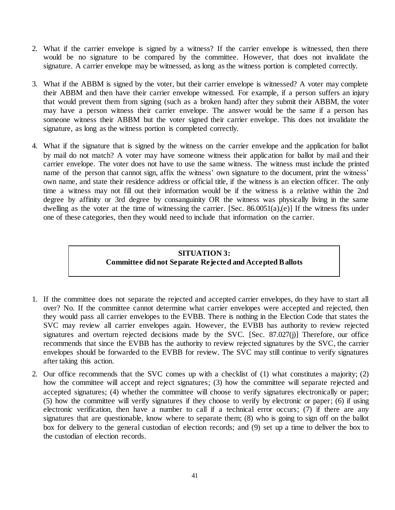- 2. What if the carrier envelope is signed by a witness? If the carrier envelope is witnessed, then there would be no signature to be compared by the committee. However, that does not invalidate the signature. A carrier envelope may be witnessed, as long as the witness portion is completed correctly.
- 3. What if the ABBM is signed by the voter, but their carrier envelope is witnessed? A voter may complete their ABBM and then have their carrier envelope witnessed. For example, if a person suffers an injury that would prevent them from signing (such as a broken hand) after they submit their ABBM, the voter may have a person witness their carrier envelope. The answer would be the same if a person has someone witness their ABBM but the voter signed their carrier envelope. This does not invalidate the signature, as long as the witness portion is completed correctly.
- 4. What if the signature that is signed by the witness on the carrier envelope and the application for ballot by mail do not match? A voter may have someone witness their application for ballot by mail and their carrier envelope. The voter does not have to use the same witness. The witness must include the printed name of the person that cannot sign, affix the witness' own signature to the document, print the witness' own name, and state their residence address or official title, if the witness is an election officer. The only time a witness may not fill out their information would be if the witness is a relative within the 2nd degree by affinity or 3rd degree by consanguinity OR the witness was physically living in the same dwelling as the voter at the time of witnessing the carrier. [Sec. 86.0051(a),(e)] If the witness fits under one of these categories, then they would need to include that information on the carrier.

# **SITUATION 3: Committee did not Separate Rejected and Accepted Ballots**

- 1. If the committee does not separate the rejected and accepted carrier envelopes, do they have to start all over? No. If the committee cannot determine what carrier envelopes were accepted and rejected, then they would pass all carrier envelopes to the EVBB. There is nothing in the Election Code that states the SVC may review all carrier envelopes again. However, the EVBB has authority to review rejected signatures and overturn rejected decisions made by the SVC. [Sec. 87.027(j)] Therefore, our office recommends that since the EVBB has the authority to review rejected signatures by the SVC, the carrier envelopes should be forwarded to the EVBB for review. The SVC may still continue to verify signatures after taking this action.
- 2. Our office recommends that the SVC comes up with a checklist of (1) what constitutes a majority; (2) how the committee will accept and reject signatures; (3) how the committee will separate rejected and accepted signatures; (4) whether the committee will choose to verify signatures electronically or paper; (5) how the committee will verify signatures if they choose to verify by electronic or paper; (6) if using electronic verification, then have a number to call if a technical error occurs; (7) if there are any signatures that are questionable, know where to separate them; (8) who is going to sign off on the ballot box for delivery to the general custodian of election records; and (9) set up a time to deliver the box to the custodian of election records.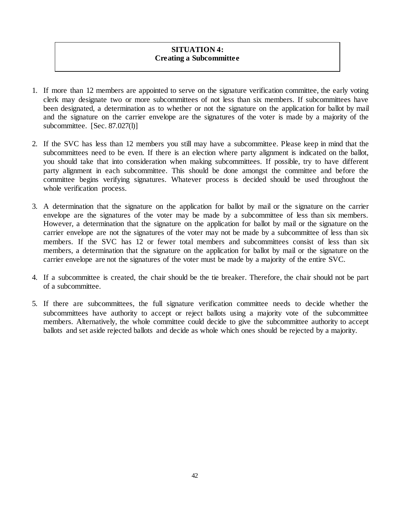# **SITUATION 4: Creating a Subcommittee**

- 1. If more than 12 members are appointed to serve on the signature verification committee, the early voting clerk may designate two or more subcommittees of not less than six members. If subcommittees have been designated, a determination as to whether or not the signature on the application for ballot by mail and the signature on the carrier envelope are the signatures of the voter is made by a majority of the subcommittee. [Sec. 87.027(l)]
- 2. If the SVC has less than 12 members you still may have a subcommittee. Please keep in mind that the subcommittees need to be even. If there is an election where party alignment is indicated on the ballot, you should take that into consideration when making subcommittees. If possible, try to have different party alignment in each subcommittee. This should be done amongst the committee and before the committee begins verifying signatures. Whatever process is decided should be used throughout the whole verification process.
- 3. A determination that the signature on the application for ballot by mail or the signature on the carrier envelope are the signatures of the voter may be made by a subcommittee of less than six members. However, a determination that the signature on the application for ballot by mail or the signature on the carrier envelope are not the signatures of the voter may not be made by a subcommittee of less than six members. If the SVC has 12 or fewer total members and subcommittees consist of less than six members, a determination that the signature on the application for ballot by mail or the signature on the carrier envelope are not the signatures of the voter must be made by a majority of the entire SVC.
- 4. If a subcommittee is created, the chair should be the tie breaker. Therefore, the chair should not be part of a subcommittee.
- 5. If there are subcommittees, the full signature verification committee needs to decide whether the subcommittees have authority to accept or reject ballots using a majority vote of the subcommittee members. Alternatively, the whole committee could decide to give the subcommittee authority to accept ballots and set aside rejected ballots and decide as whole which ones should be rejected by a majority.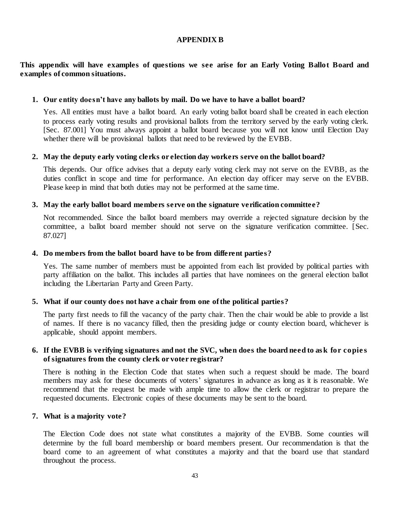### **APPENDIX B**

### **This appendix will have examples of questions we see arise for an Early Voting Ballot Board and examples of common situations.**

### **1. Our entity doesn't have any ballots by mail. Do we have to have a ballot board?**

Yes. All entities must have a ballot board. An early voting ballot board shall be created in each election to process early voting results and provisional ballots from the territory served by the early voting clerk. [Sec. 87.001] You must always appoint a ballot board because you will not know until Election Day whether there will be provisional ballots that need to be reviewed by the EVBB.

### **2. May the deputy early voting clerks or election day workers serve on the ballot board?**

This depends. Our office advises that a deputy early voting clerk may not serve on the EVBB, as the duties conflict in scope and time for performance. An election day officer may serve on the EVBB. Please keep in mind that both duties may not be performed at the same time.

### **3. May the early ballot board members serve on the signature verification committee?**

Not recommended. Since the ballot board members may override a rejected signature decision by the committee, a ballot board member should not serve on the signature verification committee. [Sec. 87.027]

### **4. Do members from the ballot board have to be from different parties?**

Yes. The same number of members must be appointed from each list provided by political parties with party affiliation on the ballot. This includes all parties that have nominees on the general election ballot including the Libertarian Party and Green Party.

### **5. What if our county does not have a chair from one of the political parties?**

The party first needs to fill the vacancy of the party chair. Then the chair would be able to provide a list of names. If there is no vacancy filled, then the presiding judge or county election board, whichever is applicable, should appoint members.

### **6. If the EVBB is verifying signatures and not the SVC, when does the board need to as k for copie s of signatures from the county clerk or voter registrar?**

There is nothing in the Election Code that states when such a request should be made. The board members may ask for these documents of voters' signatures in advance as long as it is reasonable. We recommend that the request be made with ample time to allow the clerk or registrar to prepare the requested documents. Electronic copies of these documents may be sent to the board.

### **7. What is a majority vote?**

The Election Code does not state what constitutes a majority of the EVBB. Some counties will determine by the full board membership or board members present. Our recommendation is that the board come to an agreement of what constitutes a majority and that the board use that standard throughout the process.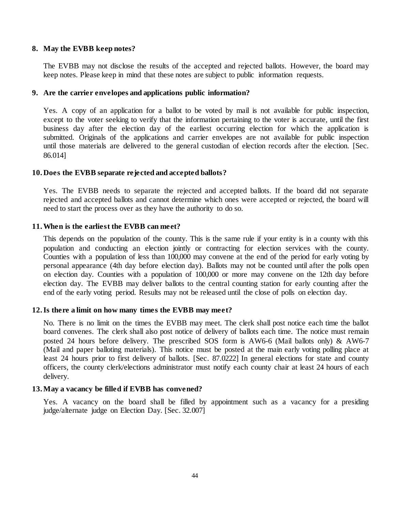### **8. May the EVBB keep notes?**

The EVBB may not disclose the results of the accepted and rejected ballots. However, the board may keep notes. Please keep in mind that these notes are subject to public information requests.

### **9. Are the carrier envelopes and applications public information?**

Yes. A copy of an application for a ballot to be voted by mail is not available for public inspection, except to the voter seeking to verify that the information pertaining to the voter is accurate, until the first business day after the election day of the earliest occurring election for which the application is submitted. Originals of the applications and carrier envelopes are not available for public inspection until those materials are delivered to the general custodian of election records after the election. [Sec. 86.014]

### **10. Does the EVBB separate rejected and accepted ballots?**

Yes. The EVBB needs to separate the rejected and accepted ballots. If the board did not separate rejected and accepted ballots and cannot determine which ones were accepted or rejected, the board will need to start the process over as they have the authority to do so.

### **11.When is the earliest the EVBB can meet?**

This depends on the population of the county. This is the same rule if your entity is in a county with this population and conducting an election jointly or contracting for election services with the county. Counties with a population of less than 100,000 may convene at the end of the period for early voting by personal appearance (4th day before election day). Ballots may not be counted until after the polls open on election day. Counties with a population of 100,000 or more may convene on the 12th day before election day. The EVBB may deliver ballots to the central counting station for early counting after the end of the early voting period. Results may not be released until the close of polls on election day.

### **12.Is there a limit on how many times the EVBB may meet?**

No. There is no limit on the times the EVBB may meet. The clerk shall post notice each time the ballot board convenes. The clerk shall also post notice of delivery of ballots each time. The notice must remain posted 24 hours before delivery. The prescribed SOS form is AW6-6 (Mail ballots only) & AW6-7 (Mail and paper balloting materials). This notice must be posted at the main early voting polling place at least 24 hours prior to first delivery of ballots. [Sec. 87.0222] In general elections for state and county officers, the county clerk/elections administrator must notify each county chair at least 24 hours of each delivery.

### **13.May a vacancy be filled if EVBB has convened?**

Yes. A vacancy on the board shall be filled by appointment such as a vacancy for a presiding judge/alternate judge on Election Day. [Sec. 32.007]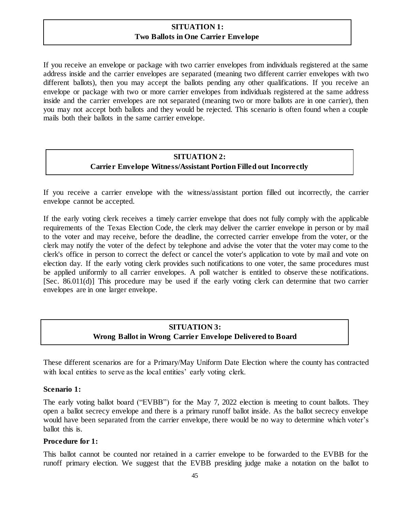# **SITUATION 1: Two Ballots in One Carrier Envelope**

If you receive an envelope or package with two carrier envelopes from individuals registered at the same address inside and the carrier envelopes are separated (meaning two different carrier envelopes with two different ballots), then you may accept the ballots pending any other qualifications. If you receive an envelope or package with two or more carrier envelopes from individuals registered at the same address inside and the carrier envelopes are not separated (meaning two or more ballots are in one carrier), then you may not accept both ballots and they would be rejected. This scenario is often found when a couple mails both their ballots in the same carrier envelope.

# **SITUATION 2: Carrier Envelope Witness/Assistant Portion Filled out Incorrectly**

If you receive a carrier envelope with the witness/assistant portion filled out incorrectly, the carrier envelope cannot be accepted.

If the early voting clerk receives a timely carrier envelope that does not fully comply with the applicable requirements of the Texas Election Code, the clerk may deliver the carrier envelope in person or by mail to the voter and may receive, before the deadline, the corrected carrier envelope from the voter, or the clerk may notify the voter of the defect by telephone and advise the voter that the voter may come to the clerk's office in person to correct the defect or cancel the voter's application to vote by mail and vote on election day. If the early voting clerk provides such notifications to one voter, the same procedures must be applied uniformly to all carrier envelopes. A poll watcher is entitled to observe these notifications. [Sec. 86.011(d)] This procedure may be used if the early voting clerk can determine that two carrier envelopes are in one larger envelope.

# **SITUATION 3: Wrong Ballot in Wrong Carrier Envelope Delivered to Board**

These different scenarios are for a Primary/May Uniform Date Election where the county has contracted with local entities to serve as the local entities' early voting clerk.

### **Scenario 1:**

The early voting ballot board ("EVBB") for the May 7, 2022 election is meeting to count ballots. They open a ballot secrecy envelope and there is a primary runoff ballot inside. As the ballot secrecy envelope would have been separated from the carrier envelope, there would be no way to determine which voter's ballot this is.

### **Procedure for 1:**

This ballot cannot be counted nor retained in a carrier envelope to be forwarded to the EVBB for the runoff primary election. We suggest that the EVBB presiding judge make a notation on the ballot to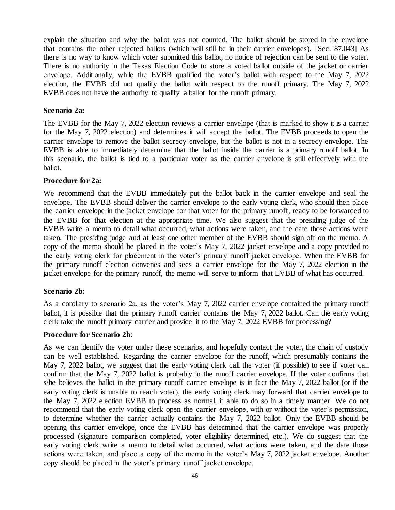explain the situation and why the ballot was not counted. The ballot should be stored in the envelope that contains the other rejected ballots (which will still be in their carrier envelopes). [Sec. 87.043] As there is no way to know which voter submitted this ballot, no notice of rejection can be sent to the voter. There is no authority in the Texas Election Code to store a voted ballot outside of the jacket or carrier envelope. Additionally, while the EVBB qualified the voter's ballot with respect to the May 7, 2022 election, the EVBB did not qualify the ballot with respect to the runoff primary. The May 7, 2022 EVBB does not have the authority to qualify a ballot for the runoff primary.

### **Scenario 2a:**

The EVBB for the May 7, 2022 election reviews a carrier envelope (that is marked to show it is a carrier for the May 7, 2022 election) and determines it will accept the ballot. The EVBB proceeds to open the carrier envelope to remove the ballot secrecy envelope, but the ballot is not in a secrecy envelope. The EVBB is able to immediately determine that the ballot inside the carrier is a primary runoff ballot. In this scenario, the ballot is tied to a particular voter as the carrier envelope is still effectively with the ballot.

### **Procedure for 2a:**

We recommend that the EVBB immediately put the ballot back in the carrier envelope and seal the envelope. The EVBB should deliver the carrier envelope to the early voting clerk, who should then place the carrier envelope in the jacket envelope for that voter for the primary runoff, ready to be forwarded to the EVBB for that election at the appropriate time. We also suggest that the presiding judge of the EVBB write a memo to detail what occurred, what actions were taken, and the date those actions were taken. The presiding judge and at least one other member of the EVBB should sign off on the memo. A copy of the memo should be placed in the voter's May 7, 2022 jacket envelope and a copy provided to the early voting clerk for placement in the voter's primary runoff jacket envelope. When the EVBB for the primary runoff election convenes and sees a carrier envelope for the May 7, 2022 election in the jacket envelope for the primary runoff, the memo will serve to inform that EVBB of what has occurred.

### **Scenario 2b:**

As a corollary to scenario 2a, as the voter's May 7, 2022 carrier envelope contained the primary runoff ballot, it is possible that the primary runoff carrier contains the May 7, 2022 ballot. Can the early voting clerk take the runoff primary carrier and provide it to the May 7, 2022 EVBB for processing?

### **Procedure for Scenario 2b**:

As we can identify the voter under these scenarios, and hopefully contact the voter, the chain of custody can be well established. Regarding the carrier envelope for the runoff, which presumably contains the May 7, 2022 ballot, we suggest that the early voting clerk call the voter (if possible) to see if voter can confirm that the May 7, 2022 ballot is probably in the runoff carrier envelope. If the voter confirms that s/he believes the ballot in the primary runoff carrier envelope is in fact the May 7, 2022 ballot (or if the early voting clerk is unable to reach voter), the early voting clerk may forward that carrier envelope to the May 7, 2022 election EVBB to process as normal, if able to do so in a timely manner. We do not recommend that the early voting clerk open the carrier envelope, with or without the voter's permission, to determine whether the carrier actually contains the May 7, 2022 ballot. Only the EVBB should be opening this carrier envelope, once the EVBB has determined that the carrier envelope was properly processed (signature comparison completed, voter eligibility determined, etc.). We do suggest that the early voting clerk write a memo to detail what occurred, what actions were taken, and the date those actions were taken, and place a copy of the memo in the voter's May 7, 2022 jacket envelope. Another copy should be placed in the voter's primary runoff jacket envelope.